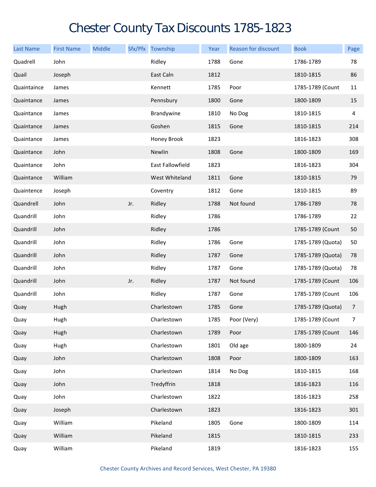## Chester County Tax Discounts 1785-1823

| <b>Last Name</b> | <b>First Name</b> | Middle |     | Sfx/Pfx Township | Year | <b>Reason for discount</b> | <b>Book</b>       | Page           |
|------------------|-------------------|--------|-----|------------------|------|----------------------------|-------------------|----------------|
| Quadrell         | John              |        |     | Ridley           | 1788 | Gone                       | 1786-1789         | 78             |
| Quail            | Joseph            |        |     | East Caln        | 1812 |                            | 1810-1815         | 86             |
| Quaintaince      | James             |        |     | Kennett          | 1785 | Poor                       | 1785-1789 (Count  | 11             |
| Quaintance       | James             |        |     | Pennsbury        | 1800 | Gone                       | 1800-1809         | 15             |
| Quaintance       | James             |        |     | Brandywine       | 1810 | No Dog                     | 1810-1815         | 4              |
| Quaintance       | James             |        |     | Goshen           | 1815 | Gone                       | 1810-1815         | 214            |
| Quaintance       | James             |        |     | Honey Brook      | 1823 |                            | 1816-1823         | 308            |
| Quaintance       | John              |        |     | Newlin           | 1808 | Gone                       | 1800-1809         | 169            |
| Quaintance       | John              |        |     | East Fallowfield | 1823 |                            | 1816-1823         | 304            |
| Quaintance       | William           |        |     | West Whiteland   | 1811 | Gone                       | 1810-1815         | 79             |
| Quaintence       | Joseph            |        |     | Coventry         | 1812 | Gone                       | 1810-1815         | 89             |
| Quandrell        | John              |        | Jr. | Ridley           | 1788 | Not found                  | 1786-1789         | 78             |
| Quandrill        | John              |        |     | Ridley           | 1786 |                            | 1786-1789         | 22             |
| Quandrill        | John              |        |     | Ridley           | 1786 |                            | 1785-1789 (Count  | 50             |
| Quandrill        | John              |        |     | Ridley           | 1786 | Gone                       | 1785-1789 (Quota) | 50             |
| Quandrill        | John              |        |     | Ridley           | 1787 | Gone                       | 1785-1789 (Quota) | 78             |
| Quandrill        | John              |        |     | Ridley           | 1787 | Gone                       | 1785-1789 (Quota) | 78             |
| Quandrill        | John              |        | Jr. | Ridley           | 1787 | Not found                  | 1785-1789 (Count  | 106            |
| Quandrill        | John              |        |     | Ridley           | 1787 | Gone                       | 1785-1789 (Count  | 106            |
| Quay             | Hugh              |        |     | Charlestown      | 1785 | Gone                       | 1785-1789 (Quota) | $\overline{7}$ |
| Quay             | Hugh              |        |     | Charlestown      | 1785 | Poor (Very)                | 1785-1789 (Count  | $\overline{7}$ |
| Quay             | Hugh              |        |     | Charlestown      | 1789 | Poor                       | 1785-1789 (Count  | 146            |
| Quay             | Hugh              |        |     | Charlestown      | 1801 | Old age                    | 1800-1809         | 24             |
| Quay             | John              |        |     | Charlestown      | 1808 | Poor                       | 1800-1809         | 163            |
| Quay             | John              |        |     | Charlestown      | 1814 | No Dog                     | 1810-1815         | 168            |
| Quay             | John              |        |     | Tredyffrin       | 1818 |                            | 1816-1823         | 116            |
| Quay             | John              |        |     | Charlestown      | 1822 |                            | 1816-1823         | 258            |
| Quay             | Joseph            |        |     | Charlestown      | 1823 |                            | 1816-1823         | 301            |
| Quay             | William           |        |     | Pikeland         | 1805 | Gone                       | 1800-1809         | 114            |
| Quay             | William           |        |     | Pikeland         | 1815 |                            | 1810-1815         | 233            |
| Quay             | William           |        |     | Pikeland         | 1819 |                            | 1816-1823         | 155            |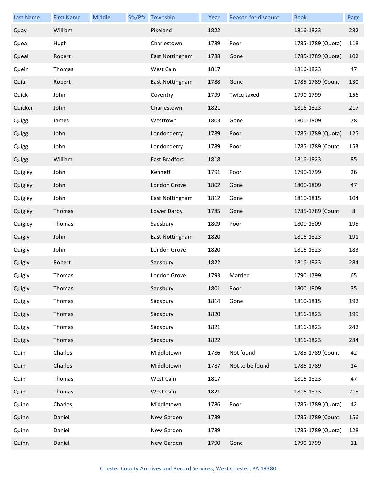| <b>Last Name</b> | <b>First Name</b> | Middle | Sfx/Pfx Township | Year | <b>Reason for discount</b> | <b>Book</b>       | Page    |
|------------------|-------------------|--------|------------------|------|----------------------------|-------------------|---------|
| Quay             | William           |        | Pikeland         | 1822 |                            | 1816-1823         | 282     |
| Quea             | Hugh              |        | Charlestown      | 1789 | Poor                       | 1785-1789 (Quota) | 118     |
| Queal            | Robert            |        | East Nottingham  | 1788 | Gone                       | 1785-1789 (Quota) | 102     |
| Quein            | Thomas            |        | West Caln        | 1817 |                            | 1816-1823         | 47      |
| Quial            | Robert            |        | East Nottingham  | 1788 | Gone                       | 1785-1789 (Count  | 130     |
| Quick            | John              |        | Coventry         | 1799 | Twice taxed                | 1790-1799         | 156     |
| Quicker          | John              |        | Charlestown      | 1821 |                            | 1816-1823         | 217     |
| Quigg            | James             |        | Westtown         | 1803 | Gone                       | 1800-1809         | 78      |
| Quigg            | John              |        | Londonderry      | 1789 | Poor                       | 1785-1789 (Quota) | 125     |
| Quigg            | John              |        | Londonderry      | 1789 | Poor                       | 1785-1789 (Count  | 153     |
| Quigg            | William           |        | East Bradford    | 1818 |                            | 1816-1823         | 85      |
| Quigley          | John              |        | Kennett          | 1791 | Poor                       | 1790-1799         | 26      |
| Quigley          | John              |        | London Grove     | 1802 | Gone                       | 1800-1809         | 47      |
| Quigley          | John              |        | East Nottingham  | 1812 | Gone                       | 1810-1815         | 104     |
| Quigley          | Thomas            |        | Lower Darby      | 1785 | Gone                       | 1785-1789 (Count  | $\bf 8$ |
| Quigley          | Thomas            |        | Sadsbury         | 1809 | Poor                       | 1800-1809         | 195     |
| Quigly           | John              |        | East Nottingham  | 1820 |                            | 1816-1823         | 191     |
| Quigly           | John              |        | London Grove     | 1820 |                            | 1816-1823         | 183     |
| Quigly           | Robert            |        | Sadsbury         | 1822 |                            | 1816-1823         | 284     |
| Quigly           | Thomas            |        | London Grove     | 1793 | Married                    | 1790-1799         | 65      |
| Quigly           | Thomas            |        | Sadsbury         | 1801 | Poor                       | 1800-1809         | 35      |
| Quigly           | Thomas            |        | Sadsbury         | 1814 | Gone                       | 1810-1815         | 192     |
| Quigly           | Thomas            |        | Sadsbury         | 1820 |                            | 1816-1823         | 199     |
| Quigly           | Thomas            |        | Sadsbury         | 1821 |                            | 1816-1823         | 242     |
| Quigly           | Thomas            |        | Sadsbury         | 1822 |                            | 1816-1823         | 284     |
| Quin             | Charles           |        | Middletown       | 1786 | Not found                  | 1785-1789 (Count  | 42      |
| Quin             | Charles           |        | Middletown       | 1787 | Not to be found            | 1786-1789         | 14      |
| Quin             | Thomas            |        | West Caln        | 1817 |                            | 1816-1823         | 47      |
| Quin             | Thomas            |        | West Caln        | 1821 |                            | 1816-1823         | 215     |
| Quinn            | Charles           |        | Middletown       | 1786 | Poor                       | 1785-1789 (Quota) | 42      |
| Quinn            | Daniel            |        | New Garden       | 1789 |                            | 1785-1789 (Count  | 156     |
| Quinn            | Daniel            |        | New Garden       | 1789 |                            | 1785-1789 (Quota) | 128     |
| Quinn            | Daniel            |        | New Garden       | 1790 | Gone                       | 1790-1799         | 11      |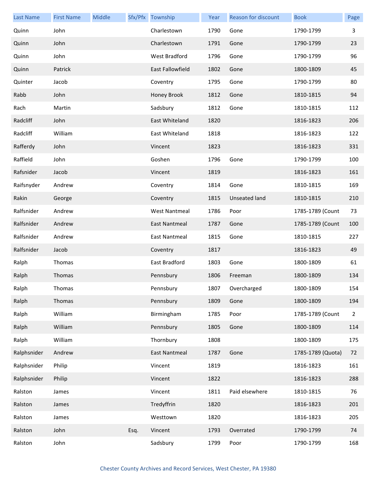| <b>Last Name</b> | <b>First Name</b> | <b>Middle</b> |      | Sfx/Pfx Township     | Year | Reason for discount  | <b>Book</b>       | Page           |
|------------------|-------------------|---------------|------|----------------------|------|----------------------|-------------------|----------------|
| Quinn            | John              |               |      | Charlestown          | 1790 | Gone                 | 1790-1799         | 3              |
| Quinn            | John              |               |      | Charlestown          | 1791 | Gone                 | 1790-1799         | 23             |
| Quinn            | John              |               |      | West Bradford        | 1796 | Gone                 | 1790-1799         | 96             |
| Quinn            | Patrick           |               |      | East Fallowfield     | 1802 | Gone                 | 1800-1809         | 45             |
| Quinter          | Jacob             |               |      | Coventry             | 1795 | Gone                 | 1790-1799         | 80             |
| Rabb             | John              |               |      | Honey Brook          | 1812 | Gone                 | 1810-1815         | 94             |
| Rach             | Martin            |               |      | Sadsbury             | 1812 | Gone                 | 1810-1815         | 112            |
| Radcliff         | John              |               |      | East Whiteland       | 1820 |                      | 1816-1823         | 206            |
| Radcliff         | William           |               |      | East Whiteland       | 1818 |                      | 1816-1823         | 122            |
| Rafferdy         | John              |               |      | Vincent              | 1823 |                      | 1816-1823         | 331            |
| Raffield         | John              |               |      | Goshen               | 1796 | Gone                 | 1790-1799         | 100            |
| Rafsnider        | Jacob             |               |      | Vincent              | 1819 |                      | 1816-1823         | 161            |
| Raifsnyder       | Andrew            |               |      | Coventry             | 1814 | Gone                 | 1810-1815         | 169            |
| Rakin            | George            |               |      | Coventry             | 1815 | <b>Unseated land</b> | 1810-1815         | 210            |
| Ralfsnider       | Andrew            |               |      | <b>West Nantmeal</b> | 1786 | Poor                 | 1785-1789 (Count  | 73             |
| Ralfsnider       | Andrew            |               |      | East Nantmeal        | 1787 | Gone                 | 1785-1789 (Count  | 100            |
| Ralfsnider       | Andrew            |               |      | East Nantmeal        | 1815 | Gone                 | 1810-1815         | 227            |
| Ralfsnider       | Jacob             |               |      | Coventry             | 1817 |                      | 1816-1823         | 49             |
| Ralph            | Thomas            |               |      | East Bradford        | 1803 | Gone                 | 1800-1809         | 61             |
| Ralph            | Thomas            |               |      | Pennsbury            | 1806 | Freeman              | 1800-1809         | 134            |
| Ralph            | Thomas            |               |      | Pennsbury            | 1807 | Overcharged          | 1800-1809         | 154            |
| Ralph            | Thomas            |               |      | Pennsbury            | 1809 | Gone                 | 1800-1809         | 194            |
| Ralph            | William           |               |      | Birmingham           | 1785 | Poor                 | 1785-1789 (Count  | $\overline{2}$ |
| Ralph            | William           |               |      | Pennsbury            | 1805 | Gone                 | 1800-1809         | 114            |
| Ralph            | William           |               |      | Thornbury            | 1808 |                      | 1800-1809         | 175            |
| Ralphsnider      | Andrew            |               |      | East Nantmeal        | 1787 | Gone                 | 1785-1789 (Quota) | 72             |
| Ralphsnider      | Philip            |               |      | Vincent              | 1819 |                      | 1816-1823         | 161            |
| Ralphsnider      | Philip            |               |      | Vincent              | 1822 |                      | 1816-1823         | 288            |
| Ralston          | James             |               |      | Vincent              | 1811 | Paid elsewhere       | 1810-1815         | 76             |
| Ralston          | James             |               |      | Tredyffrin           | 1820 |                      | 1816-1823         | 201            |
| Ralston          | James             |               |      | Westtown             | 1820 |                      | 1816-1823         | 205            |
| Ralston          | John              |               | Esq. | Vincent              | 1793 | Overrated            | 1790-1799         | 74             |
| Ralston          | John              |               |      | Sadsbury             | 1799 | Poor                 | 1790-1799         | 168            |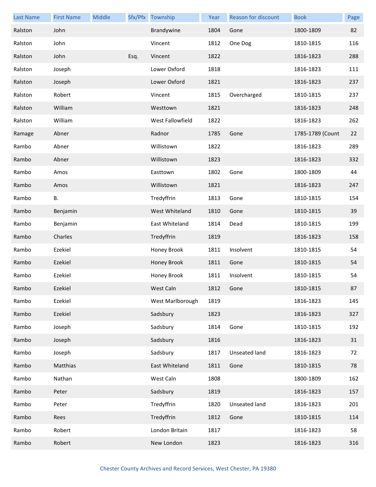| <b>Last Name</b> | <b>First Name</b> | Middle |      | Sfx/Pfx Township | Year | Reason for discount | <b>Book</b>      | Page |
|------------------|-------------------|--------|------|------------------|------|---------------------|------------------|------|
| Ralston          | John              |        |      | Brandywine       | 1804 | Gone                | 1800-1809        | 82   |
| Ralston          | John              |        |      | Vincent          | 1812 | One Dog             | 1810-1815        | 116  |
| Ralston          | John              |        | Esq. | Vincent          | 1822 |                     | 1816-1823        | 288  |
| Ralston          | Joseph            |        |      | Lower Oxford     | 1818 |                     | 1816-1823        | 111  |
| Ralston          | Joseph            |        |      | Lower Oxford     | 1821 |                     | 1816-1823        | 237  |
| Ralston          | Robert            |        |      | Vincent          | 1815 | Overcharged         | 1810-1815        | 237  |
| Ralston          | William           |        |      | Westtown         | 1821 |                     | 1816-1823        | 248  |
| Ralston          | William           |        |      | West Fallowfield | 1822 |                     | 1816-1823        | 262  |
| Ramage           | Abner             |        |      | Radnor           | 1785 | Gone                | 1785-1789 (Count | 22   |
| Rambo            | Abner             |        |      | Willistown       | 1822 |                     | 1816-1823        | 289  |
| Rambo            | Abner             |        |      | Willistown       | 1823 |                     | 1816-1823        | 332  |
| Rambo            | Amos              |        |      | Easttown         | 1802 | Gone                | 1800-1809        | 44   |
| Rambo            | Amos              |        |      | Willistown       | 1821 |                     | 1816-1823        | 247  |
| Rambo            | <b>B.</b>         |        |      | Tredyffrin       | 1813 | Gone                | 1810-1815        | 154  |
| Rambo            | Benjamin          |        |      | West Whiteland   | 1810 | Gone                | 1810-1815        | 39   |
| Rambo            | Benjamin          |        |      | East Whiteland   | 1814 | Dead                | 1810-1815        | 199  |
| Rambo            | Charles           |        |      | Tredyffrin       | 1819 |                     | 1816-1823        | 158  |
| Rambo            | Ezekiel           |        |      | Honey Brook      | 1811 | Insolvent           | 1810-1815        | 54   |
| Rambo            | Ezekiel           |        |      | Honey Brook      | 1811 | Gone                | 1810-1815        | 54   |
| Rambo            | Ezekiel           |        |      | Honey Brook      | 1811 | Insolvent           | 1810-1815        | 54   |
| Rambo            | Ezekiel           |        |      | West Caln        | 1812 | Gone                | 1810-1815        | 87   |
| Rambo            | Ezekiel           |        |      | West Marlborough | 1819 |                     | 1816-1823        | 145  |
| Rambo            | Ezekiel           |        |      | Sadsbury         | 1823 |                     | 1816-1823        | 327  |
| Rambo            | Joseph            |        |      | Sadsbury         | 1814 | Gone                | 1810-1815        | 192  |
| Rambo            | Joseph            |        |      | Sadsbury         | 1816 |                     | 1816-1823        | 31   |
| Rambo            | Joseph            |        |      | Sadsbury         | 1817 | Unseated land       | 1816-1823        | 72   |
| Rambo            | Matthias          |        |      | East Whiteland   | 1811 | Gone                | 1810-1815        | 78   |
| Rambo            | Nathan            |        |      | West Caln        | 1808 |                     | 1800-1809        | 162  |
| Rambo            | Peter             |        |      | Sadsbury         | 1819 |                     | 1816-1823        | 157  |
| Rambo            | Peter             |        |      | Tredyffrin       | 1820 | Unseated land       | 1816-1823        | 201  |
| Rambo            | Rees              |        |      | Tredyffrin       | 1812 | Gone                | 1810-1815        | 114  |
| Rambo            | Robert            |        |      | London Britain   | 1817 |                     | 1816-1823        | 58   |
| Rambo            | Robert            |        |      | New London       | 1823 |                     | 1816-1823        | 316  |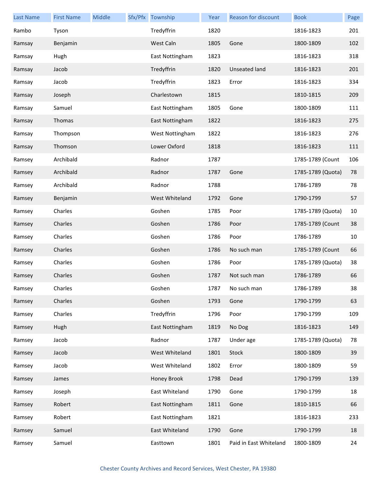| <b>Last Name</b> | <b>First Name</b> | Middle | Sfx/Pfx Township | Year | Reason for discount    | <b>Book</b>       | Page |
|------------------|-------------------|--------|------------------|------|------------------------|-------------------|------|
| Rambo            | Tyson             |        | Tredyffrin       | 1820 |                        | 1816-1823         | 201  |
| Ramsay           | Benjamin          |        | West Caln        | 1805 | Gone                   | 1800-1809         | 102  |
| Ramsay           | Hugh              |        | East Nottingham  | 1823 |                        | 1816-1823         | 318  |
| Ramsay           | Jacob             |        | Tredyffrin       | 1820 | Unseated land          | 1816-1823         | 201  |
| Ramsay           | Jacob             |        | Tredyffrin       | 1823 | Error                  | 1816-1823         | 334  |
| Ramsay           | Joseph            |        | Charlestown      | 1815 |                        | 1810-1815         | 209  |
| Ramsay           | Samuel            |        | East Nottingham  | 1805 | Gone                   | 1800-1809         | 111  |
| Ramsay           | Thomas            |        | East Nottingham  | 1822 |                        | 1816-1823         | 275  |
| Ramsay           | Thompson          |        | West Nottingham  | 1822 |                        | 1816-1823         | 276  |
| Ramsay           | Thomson           |        | Lower Oxford     | 1818 |                        | 1816-1823         | 111  |
| Ramsey           | Archibald         |        | Radnor           | 1787 |                        | 1785-1789 (Count  | 106  |
| Ramsey           | Archibald         |        | Radnor           | 1787 | Gone                   | 1785-1789 (Quota) | 78   |
| Ramsey           | Archibald         |        | Radnor           | 1788 |                        | 1786-1789         | 78   |
| Ramsey           | Benjamin          |        | West Whiteland   | 1792 | Gone                   | 1790-1799         | 57   |
| Ramsey           | Charles           |        | Goshen           | 1785 | Poor                   | 1785-1789 (Quota) | 10   |
| Ramsey           | Charles           |        | Goshen           | 1786 | Poor                   | 1785-1789 (Count  | 38   |
| Ramsey           | Charles           |        | Goshen           | 1786 | Poor                   | 1786-1789         | 10   |
| Ramsey           | Charles           |        | Goshen           | 1786 | No such man            | 1785-1789 (Count  | 66   |
| Ramsey           | Charles           |        | Goshen           | 1786 | Poor                   | 1785-1789 (Quota) | 38   |
| Ramsey           | Charles           |        | Goshen           | 1787 | Not such man           | 1786-1789         | 66   |
| Ramsey           | Charles           |        | Goshen           | 1787 | No such man            | 1786-1789         | 38   |
| Ramsey           | Charles           |        | Goshen           | 1793 | Gone                   | 1790-1799         | 63   |
| Ramsey           | Charles           |        | Tredyffrin       | 1796 | Poor                   | 1790-1799         | 109  |
| Ramsey           | Hugh              |        | East Nottingham  | 1819 | No Dog                 | 1816-1823         | 149  |
| Ramsey           | Jacob             |        | Radnor           | 1787 | Under age              | 1785-1789 (Quota) | 78   |
| Ramsey           | Jacob             |        | West Whiteland   | 1801 | Stock                  | 1800-1809         | 39   |
| Ramsey           | Jacob             |        | West Whiteland   | 1802 | Error                  | 1800-1809         | 59   |
| Ramsey           | James             |        | Honey Brook      | 1798 | Dead                   | 1790-1799         | 139  |
| Ramsey           | Joseph            |        | East Whiteland   | 1790 | Gone                   | 1790-1799         | 18   |
| Ramsey           | Robert            |        | East Nottingham  | 1811 | Gone                   | 1810-1815         | 66   |
| Ramsey           | Robert            |        | East Nottingham  | 1821 |                        | 1816-1823         | 233  |
| Ramsey           | Samuel            |        | East Whiteland   | 1790 | Gone                   | 1790-1799         | 18   |
| Ramsey           | Samuel            |        | Easttown         | 1801 | Paid in East Whiteland | 1800-1809         | 24   |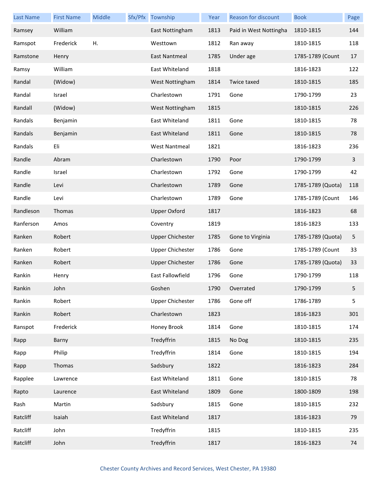| <b>Last Name</b> | <b>First Name</b> | Middle | Sfx/Pfx Township        | Year | Reason for discount    | <b>Book</b>       | Page |
|------------------|-------------------|--------|-------------------------|------|------------------------|-------------------|------|
| Ramsey           | William           |        | East Nottingham         | 1813 | Paid in West Nottingha | 1810-1815         | 144  |
| Ramspot          | Frederick         | Η.     | Westtown                | 1812 | Ran away               | 1810-1815         | 118  |
| Ramstone         | Henry             |        | East Nantmeal           | 1785 | Under age              | 1785-1789 (Count  | 17   |
| Ramsy            | William           |        | East Whiteland          | 1818 |                        | 1816-1823         | 122  |
| Randal           | (Widow)           |        | West Nottingham         | 1814 | Twice taxed            | 1810-1815         | 185  |
| Randal           | Israel            |        | Charlestown             | 1791 | Gone                   | 1790-1799         | 23   |
| Randall          | (Widow)           |        | West Nottingham         | 1815 |                        | 1810-1815         | 226  |
| Randals          | Benjamin          |        | East Whiteland          | 1811 | Gone                   | 1810-1815         | 78   |
| Randals          | Benjamin          |        | East Whiteland          | 1811 | Gone                   | 1810-1815         | 78   |
| Randals          | Eli               |        | <b>West Nantmeal</b>    | 1821 |                        | 1816-1823         | 236  |
| Randle           | Abram             |        | Charlestown             | 1790 | Poor                   | 1790-1799         | 3    |
| Randle           | Israel            |        | Charlestown             | 1792 | Gone                   | 1790-1799         | 42   |
| Randle           | Levi              |        | Charlestown             | 1789 | Gone                   | 1785-1789 (Quota) | 118  |
| Randle           | Levi              |        | Charlestown             | 1789 | Gone                   | 1785-1789 (Count  | 146  |
| Randleson        | Thomas            |        | <b>Upper Oxford</b>     | 1817 |                        | 1816-1823         | 68   |
| Ranferson        | Amos              |        | Coventry                | 1819 |                        | 1816-1823         | 133  |
| Ranken           | Robert            |        | <b>Upper Chichester</b> | 1785 | Gone to Virginia       | 1785-1789 (Quota) | 5    |
| Ranken           | Robert            |        | <b>Upper Chichester</b> | 1786 | Gone                   | 1785-1789 (Count  | 33   |
| Ranken           | Robert            |        | <b>Upper Chichester</b> | 1786 | Gone                   | 1785-1789 (Quota) | 33   |
| Rankin           | Henry             |        | East Fallowfield        | 1796 | Gone                   | 1790-1799         | 118  |
| Rankin           | John              |        | Goshen                  | 1790 | Overrated              | 1790-1799         | 5.   |
| Rankin           | Robert            |        | <b>Upper Chichester</b> | 1786 | Gone off               | 1786-1789         | 5    |
| Rankin           | Robert            |        | Charlestown             | 1823 |                        | 1816-1823         | 301  |
| Ranspot          | Frederick         |        | Honey Brook             | 1814 | Gone                   | 1810-1815         | 174  |
| Rapp             | Barny             |        | Tredyffrin              | 1815 | No Dog                 | 1810-1815         | 235  |
| Rapp             | Philip            |        | Tredyffrin              | 1814 | Gone                   | 1810-1815         | 194  |
| Rapp             | Thomas            |        | Sadsbury                | 1822 |                        | 1816-1823         | 284  |
| Rapplee          | Lawrence          |        | East Whiteland          | 1811 | Gone                   | 1810-1815         | 78   |
| Rapto            | Laurence          |        | East Whiteland          | 1809 | Gone                   | 1800-1809         | 198  |
| Rash             | Martin            |        | Sadsbury                | 1815 | Gone                   | 1810-1815         | 232  |
| Ratcliff         | Isaiah            |        | East Whiteland          | 1817 |                        | 1816-1823         | 79   |
| Ratcliff         | John              |        | Tredyffrin              | 1815 |                        | 1810-1815         | 235  |
| Ratcliff         | John              |        | Tredyffrin              | 1817 |                        | 1816-1823         | 74   |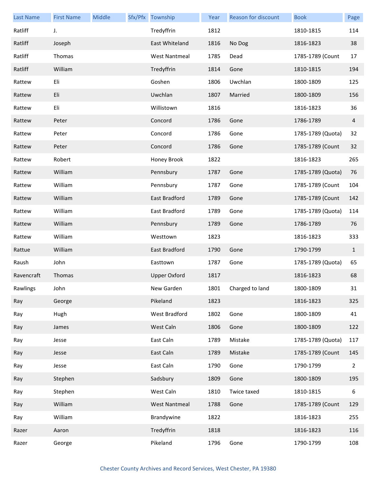| <b>Last Name</b> | <b>First Name</b> | Middle | Sfx/Pfx Township     | Year | <b>Reason for discount</b> | <b>Book</b>       | Page           |
|------------------|-------------------|--------|----------------------|------|----------------------------|-------------------|----------------|
| Ratliff          | J.                |        | Tredyffrin           | 1812 |                            | 1810-1815         | 114            |
| Ratliff          | Joseph            |        | East Whiteland       | 1816 | No Dog                     | 1816-1823         | 38             |
| Ratliff          | Thomas            |        | <b>West Nantmeal</b> | 1785 | Dead                       | 1785-1789 (Count  | 17             |
| Ratliff          | William           |        | Tredyffrin           | 1814 | Gone                       | 1810-1815         | 194            |
| Rattew           | Eli               |        | Goshen               | 1806 | Uwchlan                    | 1800-1809         | 125            |
| Rattew           | Eli               |        | Uwchlan              | 1807 | Married                    | 1800-1809         | 156            |
| Rattew           | Eli               |        | Willistown           | 1816 |                            | 1816-1823         | 36             |
| Rattew           | Peter             |        | Concord              | 1786 | Gone                       | 1786-1789         | 4              |
| Rattew           | Peter             |        | Concord              | 1786 | Gone                       | 1785-1789 (Quota) | 32             |
| Rattew           | Peter             |        | Concord              | 1786 | Gone                       | 1785-1789 (Count  | 32             |
| Rattew           | Robert            |        | Honey Brook          | 1822 |                            | 1816-1823         | 265            |
| Rattew           | William           |        | Pennsbury            | 1787 | Gone                       | 1785-1789 (Quota) | 76             |
| Rattew           | William           |        | Pennsbury            | 1787 | Gone                       | 1785-1789 (Count  | 104            |
| Rattew           | William           |        | East Bradford        | 1789 | Gone                       | 1785-1789 (Count  | 142            |
| Rattew           | William           |        | East Bradford        | 1789 | Gone                       | 1785-1789 (Quota) | 114            |
| Rattew           | William           |        | Pennsbury            | 1789 | Gone                       | 1786-1789         | 76             |
| Rattew           | William           |        | Westtown             | 1823 |                            | 1816-1823         | 333            |
| Rattue           | William           |        | East Bradford        | 1790 | Gone                       | 1790-1799         | $\mathbf{1}$   |
| Raush            | John              |        | Easttown             | 1787 | Gone                       | 1785-1789 (Quota) | 65             |
| Ravencraft       | Thomas            |        | <b>Upper Oxford</b>  | 1817 |                            | 1816-1823         | 68             |
| Rawlings         | John              |        | New Garden           | 1801 | Charged to land            | 1800-1809         | 31             |
| Ray              | George            |        | Pikeland             | 1823 |                            | 1816-1823         | 325            |
| Ray              | Hugh              |        | West Bradford        | 1802 | Gone                       | 1800-1809         | 41             |
| Ray              | James             |        | West Caln            | 1806 | Gone                       | 1800-1809         | 122            |
| Ray              | Jesse             |        | East Caln            | 1789 | Mistake                    | 1785-1789 (Quota) | 117            |
| Ray              | Jesse             |        | East Caln            | 1789 | Mistake                    | 1785-1789 (Count  | 145            |
| Ray              | Jesse             |        | East Caln            | 1790 | Gone                       | 1790-1799         | $\overline{2}$ |
| Ray              | Stephen           |        | Sadsbury             | 1809 | Gone                       | 1800-1809         | 195            |
| Ray              | Stephen           |        | West Caln            | 1810 | Twice taxed                | 1810-1815         | 6              |
| Ray              | William           |        | <b>West Nantmeal</b> | 1788 | Gone                       | 1785-1789 (Count  | 129            |
| Ray              | William           |        | Brandywine           | 1822 |                            | 1816-1823         | 255            |
| Razer            | Aaron             |        | Tredyffrin           | 1818 |                            | 1816-1823         | 116            |
| Razer            | George            |        | Pikeland             | 1796 | Gone                       | 1790-1799         | 108            |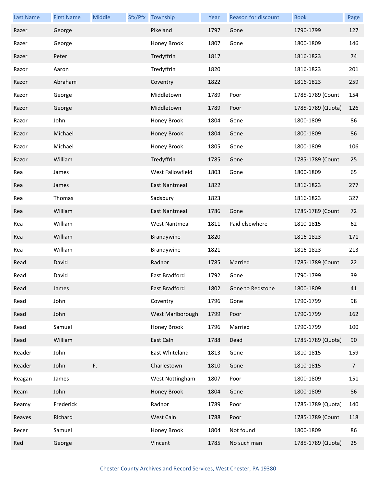| <b>Last Name</b> | <b>First Name</b> | Middle | Sfx/Pfx Township     | Year | Reason for discount | <b>Book</b>       | Page           |
|------------------|-------------------|--------|----------------------|------|---------------------|-------------------|----------------|
| Razer            | George            |        | Pikeland             | 1797 | Gone                | 1790-1799         | 127            |
| Razer            | George            |        | Honey Brook          | 1807 | Gone                | 1800-1809         | 146            |
| Razer            | Peter             |        | Tredyffrin           | 1817 |                     | 1816-1823         | 74             |
| Razor            | Aaron             |        | Tredyffrin           | 1820 |                     | 1816-1823         | 201            |
| Razor            | Abraham           |        | Coventry             | 1822 |                     | 1816-1823         | 259            |
| Razor            | George            |        | Middletown           | 1789 | Poor                | 1785-1789 (Count  | 154            |
| Razor            | George            |        | Middletown           | 1789 | Poor                | 1785-1789 (Quota) | 126            |
| Razor            | John              |        | Honey Brook          | 1804 | Gone                | 1800-1809         | 86             |
| Razor            | Michael           |        | Honey Brook          | 1804 | Gone                | 1800-1809         | 86             |
| Razor            | Michael           |        | Honey Brook          | 1805 | Gone                | 1800-1809         | 106            |
| Razor            | William           |        | Tredyffrin           | 1785 | Gone                | 1785-1789 (Count  | 25             |
| Rea              | James             |        | West Fallowfield     | 1803 | Gone                | 1800-1809         | 65             |
| Rea              | James             |        | East Nantmeal        | 1822 |                     | 1816-1823         | 277            |
| Rea              | Thomas            |        | Sadsbury             | 1823 |                     | 1816-1823         | 327            |
| Rea              | William           |        | East Nantmeal        | 1786 | Gone                | 1785-1789 (Count  | 72             |
| Rea              | William           |        | <b>West Nantmeal</b> | 1811 | Paid elsewhere      | 1810-1815         | 62             |
| Rea              | William           |        | Brandywine           | 1820 |                     | 1816-1823         | 171            |
| Rea              | William           |        | Brandywine           | 1821 |                     | 1816-1823         | 213            |
| Read             | David             |        | Radnor               | 1785 | Married             | 1785-1789 (Count  | 22             |
| Read             | David             |        | East Bradford        | 1792 | Gone                | 1790-1799         | 39             |
| Read             | James             |        | East Bradford        | 1802 | Gone to Redstone    | 1800-1809         | 41             |
| Read             | John              |        | Coventry             | 1796 | Gone                | 1790-1799         | 98             |
| Read             | John              |        | West Marlborough     | 1799 | Poor                | 1790-1799         | 162            |
| Read             | Samuel            |        | Honey Brook          | 1796 | Married             | 1790-1799         | 100            |
| Read             | William           |        | East Caln            | 1788 | Dead                | 1785-1789 (Quota) | 90             |
| Reader           | John              |        | East Whiteland       | 1813 | Gone                | 1810-1815         | 159            |
| Reader           | John              | F.     | Charlestown          | 1810 | Gone                | 1810-1815         | $\overline{7}$ |
| Reagan           | James             |        | West Nottingham      | 1807 | Poor                | 1800-1809         | 151            |
| Ream             | John              |        | Honey Brook          | 1804 | Gone                | 1800-1809         | 86             |
| Reamy            | Frederick         |        | Radnor               | 1789 | Poor                | 1785-1789 (Quota) | 140            |
| Reaves           | Richard           |        | West Caln            | 1788 | Poor                | 1785-1789 (Count  | 118            |
| Recer            | Samuel            |        | Honey Brook          | 1804 | Not found           | 1800-1809         | 86             |
| Red              | George            |        | Vincent              | 1785 | No such man         | 1785-1789 (Quota) | 25             |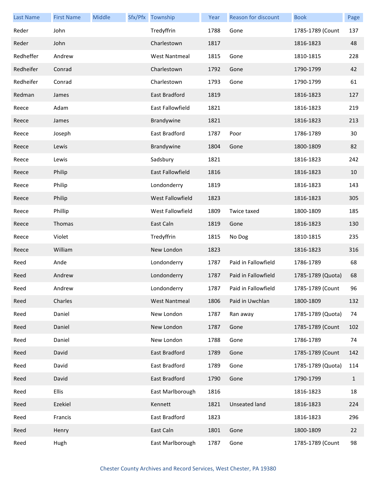| <b>Last Name</b> | <b>First Name</b> | Middle | Sfx/Pfx Township        | Year | <b>Reason for discount</b> | <b>Book</b>       | Page         |
|------------------|-------------------|--------|-------------------------|------|----------------------------|-------------------|--------------|
| Reder            | John              |        | Tredyffrin              | 1788 | Gone                       | 1785-1789 (Count  | 137          |
| Reder            | John              |        | Charlestown             | 1817 |                            | 1816-1823         | 48           |
| Redheffer        | Andrew            |        | <b>West Nantmeal</b>    | 1815 | Gone                       | 1810-1815         | 228          |
| Redheifer        | Conrad            |        | Charlestown             | 1792 | Gone                       | 1790-1799         | 42           |
| Redheifer        | Conrad            |        | Charlestown             | 1793 | Gone                       | 1790-1799         | 61           |
| Redman           | James             |        | East Bradford           | 1819 |                            | 1816-1823         | 127          |
| Reece            | Adam              |        | East Fallowfield        | 1821 |                            | 1816-1823         | 219          |
| Reece            | James             |        | Brandywine              | 1821 |                            | 1816-1823         | 213          |
| Reece            | Joseph            |        | East Bradford           | 1787 | Poor                       | 1786-1789         | 30           |
| Reece            | Lewis             |        | Brandywine              | 1804 | Gone                       | 1800-1809         | 82           |
| Reece            | Lewis             |        | Sadsbury                | 1821 |                            | 1816-1823         | 242          |
| Reece            | Philip            |        | <b>East Fallowfield</b> | 1816 |                            | 1816-1823         | 10           |
| Reece            | Philip            |        | Londonderry             | 1819 |                            | 1816-1823         | 143          |
| Reece            | Philip            |        | West Fallowfield        | 1823 |                            | 1816-1823         | 305          |
| Reece            | Phillip           |        | West Fallowfield        | 1809 | Twice taxed                | 1800-1809         | 185          |
| Reece            | Thomas            |        | East Caln               | 1819 | Gone                       | 1816-1823         | 130          |
| Reece            | Violet            |        | Tredyffrin              | 1815 | No Dog                     | 1810-1815         | 235          |
| Reece            | William           |        | New London              | 1823 |                            | 1816-1823         | 316          |
| Reed             | Ande              |        | Londonderry             | 1787 | Paid in Fallowfield        | 1786-1789         | 68           |
| Reed             | Andrew            |        | Londonderry             | 1787 | Paid in Fallowfield        | 1785-1789 (Quota) | 68           |
| Reed             | Andrew            |        | Londonderry             | 1787 | Paid in Fallowfield        | 1785-1789 (Count  | 96           |
| Reed             | Charles           |        | <b>West Nantmeal</b>    | 1806 | Paid in Uwchlan            | 1800-1809         | 132          |
| Reed             | Daniel            |        | New London              | 1787 | Ran away                   | 1785-1789 (Quota) | 74           |
| Reed             | Daniel            |        | New London              | 1787 | Gone                       | 1785-1789 (Count  | 102          |
| Reed             | Daniel            |        | New London              | 1788 | Gone                       | 1786-1789         | 74           |
| Reed             | David             |        | East Bradford           | 1789 | Gone                       | 1785-1789 (Count  | 142          |
| Reed             | David             |        | East Bradford           | 1789 | Gone                       | 1785-1789 (Quota) | 114          |
| Reed             | David             |        | East Bradford           | 1790 | Gone                       | 1790-1799         | $\mathbf{1}$ |
| Reed             | <b>Ellis</b>      |        | East Marlborough        | 1816 |                            | 1816-1823         | 18           |
| Reed             | Ezekiel           |        | Kennett                 | 1821 | Unseated land              | 1816-1823         | 224          |
| Reed             | Francis           |        | East Bradford           | 1823 |                            | 1816-1823         | 296          |
| Reed             | Henry             |        | East Caln               | 1801 | Gone                       | 1800-1809         | 22           |
| Reed             | Hugh              |        | East Marlborough        | 1787 | Gone                       | 1785-1789 (Count  | 98           |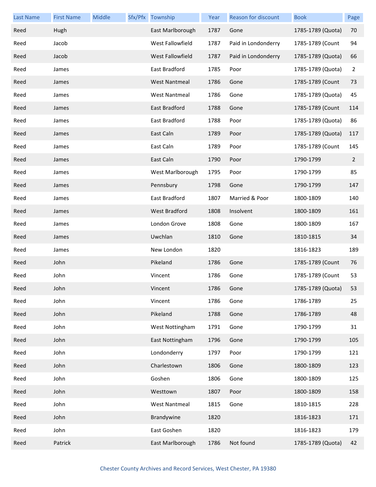| <b>Last Name</b> | <b>First Name</b> | Middle | Sfx/Pfx Township     | Year | <b>Reason for discount</b> | <b>Book</b>       | Page |
|------------------|-------------------|--------|----------------------|------|----------------------------|-------------------|------|
| Reed             | Hugh              |        | East Marlborough     | 1787 | Gone                       | 1785-1789 (Quota) | 70   |
| Reed             | Jacob             |        | West Fallowfield     | 1787 | Paid in Londonderry        | 1785-1789 (Count  | 94   |
| Reed             | Jacob             |        | West Fallowfield     | 1787 | Paid in Londonderry        | 1785-1789 (Quota) | 66   |
| Reed             | James             |        | East Bradford        | 1785 | Poor                       | 1785-1789 (Quota) | 2    |
| Reed             | James             |        | <b>West Nantmeal</b> | 1786 | Gone                       | 1785-1789 (Count  | 73   |
| Reed             | James             |        | <b>West Nantmeal</b> | 1786 | Gone                       | 1785-1789 (Quota) | 45   |
| Reed             | James             |        | East Bradford        | 1788 | Gone                       | 1785-1789 (Count  | 114  |
| Reed             | James             |        | East Bradford        | 1788 | Poor                       | 1785-1789 (Quota) | 86   |
| Reed             | James             |        | East Caln            | 1789 | Poor                       | 1785-1789 (Quota) | 117  |
| Reed             | James             |        | East Caln            | 1789 | Poor                       | 1785-1789 (Count  | 145  |
| Reed             | James             |        | East Caln            | 1790 | Poor                       | 1790-1799         | 2    |
| Reed             | James             |        | West Marlborough     | 1795 | Poor                       | 1790-1799         | 85   |
| Reed             | James             |        | Pennsbury            | 1798 | Gone                       | 1790-1799         | 147  |
| Reed             | James             |        | East Bradford        | 1807 | Married & Poor             | 1800-1809         | 140  |
| Reed             | James             |        | <b>West Bradford</b> | 1808 | Insolvent                  | 1800-1809         | 161  |
| Reed             | James             |        | London Grove         | 1808 | Gone                       | 1800-1809         | 167  |
| Reed             | James             |        | Uwchlan              | 1810 | Gone                       | 1810-1815         | 34   |
| Reed             | James             |        | New London           | 1820 |                            | 1816-1823         | 189  |
| Reed             | John              |        | Pikeland             | 1786 | Gone                       | 1785-1789 (Count  | 76   |
| Reed             | John              |        | Vincent              | 1786 | Gone                       | 1785-1789 (Count  | 53   |
| Reed             | John              |        | Vincent              | 1786 | Gone                       | 1785-1789 (Quota) | 53   |
| Reed             | John              |        | Vincent              | 1786 | Gone                       | 1786-1789         | 25   |
| Reed             | John              |        | Pikeland             | 1788 | Gone                       | 1786-1789         | 48   |
| Reed             | John              |        | West Nottingham      | 1791 | Gone                       | 1790-1799         | 31   |
| Reed             | John              |        | East Nottingham      | 1796 | Gone                       | 1790-1799         | 105  |
| Reed             | John              |        | Londonderry          | 1797 | Poor                       | 1790-1799         | 121  |
| Reed             | John              |        | Charlestown          | 1806 | Gone                       | 1800-1809         | 123  |
| Reed             | John              |        | Goshen               | 1806 | Gone                       | 1800-1809         | 125  |
| Reed             | John              |        | Westtown             | 1807 | Poor                       | 1800-1809         | 158  |
| Reed             | John              |        | <b>West Nantmeal</b> | 1815 | Gone                       | 1810-1815         | 228  |
| Reed             | John              |        | Brandywine           | 1820 |                            | 1816-1823         | 171  |
| Reed             | John              |        | East Goshen          | 1820 |                            | 1816-1823         | 179  |
| Reed             | Patrick           |        | East Marlborough     | 1786 | Not found                  | 1785-1789 (Quota) | 42   |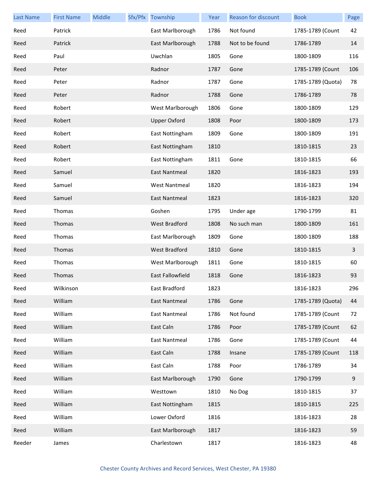| <b>Last Name</b> | <b>First Name</b> | Middle | Sfx/Pfx Township     | Year | Reason for discount | <b>Book</b>       | Page         |
|------------------|-------------------|--------|----------------------|------|---------------------|-------------------|--------------|
| Reed             | Patrick           |        | East Marlborough     | 1786 | Not found           | 1785-1789 (Count  | 42           |
| Reed             | Patrick           |        | East Marlborough     | 1788 | Not to be found     | 1786-1789         | 14           |
| Reed             | Paul              |        | Uwchlan              | 1805 | Gone                | 1800-1809         | 116          |
| Reed             | Peter             |        | Radnor               | 1787 | Gone                | 1785-1789 (Count  | 106          |
| Reed             | Peter             |        | Radnor               | 1787 | Gone                | 1785-1789 (Quota) | 78           |
| Reed             | Peter             |        | Radnor               | 1788 | Gone                | 1786-1789         | 78           |
| Reed             | Robert            |        | West Marlborough     | 1806 | Gone                | 1800-1809         | 129          |
| Reed             | Robert            |        | <b>Upper Oxford</b>  | 1808 | Poor                | 1800-1809         | 173          |
| Reed             | Robert            |        | East Nottingham      | 1809 | Gone                | 1800-1809         | 191          |
| Reed             | Robert            |        | East Nottingham      | 1810 |                     | 1810-1815         | 23           |
| Reed             | Robert            |        | East Nottingham      | 1811 | Gone                | 1810-1815         | 66           |
| Reed             | Samuel            |        | <b>East Nantmeal</b> | 1820 |                     | 1816-1823         | 193          |
| Reed             | Samuel            |        | <b>West Nantmeal</b> | 1820 |                     | 1816-1823         | 194          |
| Reed             | Samuel            |        | East Nantmeal        | 1823 |                     | 1816-1823         | 320          |
| Reed             | Thomas            |        | Goshen               | 1795 | Under age           | 1790-1799         | 81           |
| Reed             | Thomas            |        | West Bradford        | 1808 | No such man         | 1800-1809         | 161          |
| Reed             | Thomas            |        | East Marlborough     | 1809 | Gone                | 1800-1809         | 188          |
| Reed             | Thomas            |        | West Bradford        | 1810 | Gone                | 1810-1815         | $\mathbf{3}$ |
| Reed             | Thomas            |        | West Marlborough     | 1811 | Gone                | 1810-1815         | 60           |
| Reed             | Thomas            |        | East Fallowfield     | 1818 | Gone                | 1816-1823         | 93           |
| Reed             | Wilkinson         |        | East Bradford        | 1823 |                     | 1816-1823         | 296          |
| Reed             | William           |        | East Nantmeal        | 1786 | Gone                | 1785-1789 (Quota) | 44           |
| Reed             | William           |        | East Nantmeal        | 1786 | Not found           | 1785-1789 (Count  | 72           |
| Reed             | William           |        | East Caln            | 1786 | Poor                | 1785-1789 (Count  | 62           |
| Reed             | William           |        | <b>East Nantmeal</b> | 1786 | Gone                | 1785-1789 (Count  | 44           |
| Reed             | William           |        | East Caln            | 1788 | Insane              | 1785-1789 (Count  | 118          |
| Reed             | William           |        | East Caln            | 1788 | Poor                | 1786-1789         | 34           |
| Reed             | William           |        | East Marlborough     | 1790 | Gone                | 1790-1799         | 9            |
| Reed             | William           |        | Westtown             | 1810 | No Dog              | 1810-1815         | 37           |
| Reed             | William           |        | East Nottingham      | 1815 |                     | 1810-1815         | 225          |
| Reed             | William           |        | Lower Oxford         | 1816 |                     | 1816-1823         | 28           |
| Reed             | William           |        | East Marlborough     | 1817 |                     | 1816-1823         | 59           |
| Reeder           | James             |        | Charlestown          | 1817 |                     | 1816-1823         | 48           |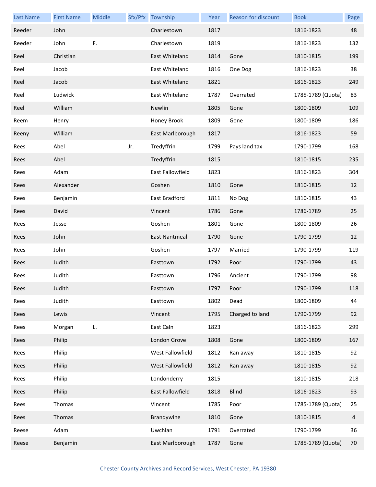| <b>Last Name</b> | <b>First Name</b> | Middle |     | Sfx/Pfx Township | Year | Reason for discount | <b>Book</b>       | Page |
|------------------|-------------------|--------|-----|------------------|------|---------------------|-------------------|------|
| Reeder           | John              |        |     | Charlestown      | 1817 |                     | 1816-1823         | 48   |
| Reeder           | John              | F.     |     | Charlestown      | 1819 |                     | 1816-1823         | 132  |
| Reel             | Christian         |        |     | East Whiteland   | 1814 | Gone                | 1810-1815         | 199  |
| Reel             | Jacob             |        |     | East Whiteland   | 1816 | One Dog             | 1816-1823         | 38   |
| Reel             | Jacob             |        |     | East Whiteland   | 1821 |                     | 1816-1823         | 249  |
| Reel             | Ludwick           |        |     | East Whiteland   | 1787 | Overrated           | 1785-1789 (Quota) | 83   |
| Reel             | William           |        |     | Newlin           | 1805 | Gone                | 1800-1809         | 109  |
| Reem             | Henry             |        |     | Honey Brook      | 1809 | Gone                | 1800-1809         | 186  |
| Reeny            | William           |        |     | East Marlborough | 1817 |                     | 1816-1823         | 59   |
| Rees             | Abel              |        | Jr. | Tredyffrin       | 1799 | Pays land tax       | 1790-1799         | 168  |
| Rees             | Abel              |        |     | Tredyffrin       | 1815 |                     | 1810-1815         | 235  |
| Rees             | Adam              |        |     | East Fallowfield | 1823 |                     | 1816-1823         | 304  |
| Rees             | Alexander         |        |     | Goshen           | 1810 | Gone                | 1810-1815         | 12   |
| Rees             | Benjamin          |        |     | East Bradford    | 1811 | No Dog              | 1810-1815         | 43   |
| Rees             | David             |        |     | Vincent          | 1786 | Gone                | 1786-1789         | 25   |
| Rees             | Jesse             |        |     | Goshen           | 1801 | Gone                | 1800-1809         | 26   |
| Rees             | John              |        |     | East Nantmeal    | 1790 | Gone                | 1790-1799         | 12   |
| Rees             | John              |        |     | Goshen           | 1797 | Married             | 1790-1799         | 119  |
| Rees             | Judith            |        |     | Easttown         | 1792 | Poor                | 1790-1799         | 43   |
| Rees             | Judith            |        |     | Easttown         | 1796 | Ancient             | 1790-1799         | 98   |
| Rees             | Judith            |        |     | Easttown         | 1797 | Poor                | 1790-1799         | 118  |
| Rees             | Judith            |        |     | Easttown         | 1802 | Dead                | 1800-1809         | 44   |
| Rees             | Lewis             |        |     | Vincent          | 1795 | Charged to land     | 1790-1799         | 92   |
| Rees             | Morgan            | L.     |     | East Caln        | 1823 |                     | 1816-1823         | 299  |
| Rees             | Philip            |        |     | London Grove     | 1808 | Gone                | 1800-1809         | 167  |
| Rees             | Philip            |        |     | West Fallowfield | 1812 | Ran away            | 1810-1815         | 92   |
| Rees             | Philip            |        |     | West Fallowfield | 1812 | Ran away            | 1810-1815         | 92   |
| Rees             | Philip            |        |     | Londonderry      | 1815 |                     | 1810-1815         | 218  |
| Rees             | Philip            |        |     | East Fallowfield | 1818 | <b>Blind</b>        | 1816-1823         | 93   |
| Rees             | Thomas            |        |     | Vincent          | 1785 | Poor                | 1785-1789 (Quota) | 25   |
| Rees             | Thomas            |        |     | Brandywine       | 1810 | Gone                | 1810-1815         | 4    |
| Reese            | Adam              |        |     | Uwchlan          | 1791 | Overrated           | 1790-1799         | 36   |
| Reese            | Benjamin          |        |     | East Marlborough | 1787 | Gone                | 1785-1789 (Quota) | 70   |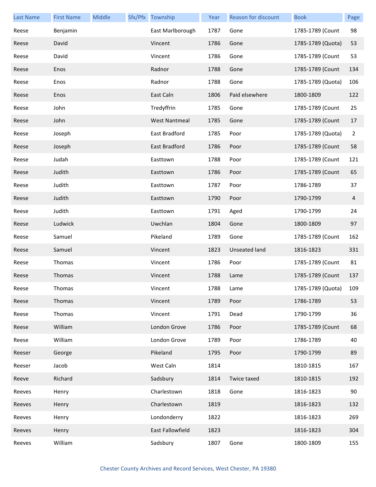| <b>Last Name</b> | <b>First Name</b> | Middle | Sfx/Pfx Township     | Year | <b>Reason for discount</b> | <b>Book</b>           | Page           |
|------------------|-------------------|--------|----------------------|------|----------------------------|-----------------------|----------------|
| Reese            | Benjamin          |        | East Marlborough     | 1787 | Gone                       | 1785-1789 (Count      | 98             |
| Reese            | David             |        | Vincent              | 1786 | Gone                       | 1785-1789 (Quota)     | 53             |
| Reese            | David             |        | Vincent              | 1786 | Gone                       | 1785-1789 (Count      | 53             |
| Reese            | Enos              |        | Radnor               | 1788 | Gone                       | 1785-1789 (Count      | 134            |
| Reese            | Enos              |        | Radnor               | 1788 | Gone                       | 1785-1789 (Quota)     | 106            |
| Reese            | Enos              |        | East Caln            | 1806 | Paid elsewhere             | 1800-1809             | 122            |
| Reese            | John              |        | Tredyffrin           | 1785 | Gone                       | 1785-1789 (Count      | 25             |
| Reese            | John              |        | <b>West Nantmeal</b> | 1785 | Gone                       | 1785-1789 (Count      | 17             |
| Reese            | Joseph            |        | East Bradford        | 1785 | Poor                       | 1785-1789 (Quota)     | $\overline{2}$ |
| Reese            | Joseph            |        | East Bradford        | 1786 | Poor                       | 1785-1789 (Count      | 58             |
| Reese            | Judah             |        | Easttown             | 1788 | Poor                       | 1785-1789 (Count      | 121            |
| Reese            | Judith            |        | Easttown             | 1786 | Poor                       | 1785-1789 (Count      | 65             |
| Reese            | Judith            |        | Easttown             | 1787 | Poor                       | 1786-1789             | 37             |
| Reese            | Judith            |        | Easttown             | 1790 | Poor                       | 1790-1799             | 4              |
| Reese            | Judith            |        | Easttown             | 1791 | Aged                       | 1790-1799             | 24             |
| Reese            | Ludwick           |        | Uwchlan              | 1804 | Gone                       | 1800-1809             | 97             |
| Reese            | Samuel            |        | Pikeland             | 1789 | Gone                       | 1785-1789 (Count      | 162            |
| Reese            | Samuel            |        | Vincent              | 1823 | Unseated land              | 1816-1823             | 331            |
| Reese            | Thomas            |        | Vincent              | 1786 | Poor                       | 1785-1789 (Count      | 81             |
| Reese            | Thomas            |        | Vincent              | 1788 | Lame                       | 1785-1789 (Count      | 137            |
| Reese            | Thomas            |        | Vincent              | 1788 | Lame                       | 1785-1789 (Quota) 109 |                |
| Reese            | Thomas            |        | Vincent              | 1789 | Poor                       | 1786-1789             | 53             |
| Reese            | Thomas            |        | Vincent              | 1791 | Dead                       | 1790-1799             | 36             |
| Reese            | William           |        | London Grove         | 1786 | Poor                       | 1785-1789 (Count      | 68             |
| Reese            | William           |        | London Grove         | 1789 | Poor                       | 1786-1789             | 40             |
| Reeser           | George            |        | Pikeland             | 1795 | Poor                       | 1790-1799             | 89             |
| Reeser           | Jacob             |        | West Caln            | 1814 |                            | 1810-1815             | 167            |
| Reeve            | Richard           |        | Sadsbury             | 1814 | Twice taxed                | 1810-1815             | 192            |
| Reeves           | Henry             |        | Charlestown          | 1818 | Gone                       | 1816-1823             | 90             |
| Reeves           | Henry             |        | Charlestown          | 1819 |                            | 1816-1823             | 132            |
| Reeves           | Henry             |        | Londonderry          | 1822 |                            | 1816-1823             | 269            |
| Reeves           | Henry             |        | East Fallowfield     | 1823 |                            | 1816-1823             | 304            |
| Reeves           | William           |        | Sadsbury             | 1807 | Gone                       | 1800-1809             | 155            |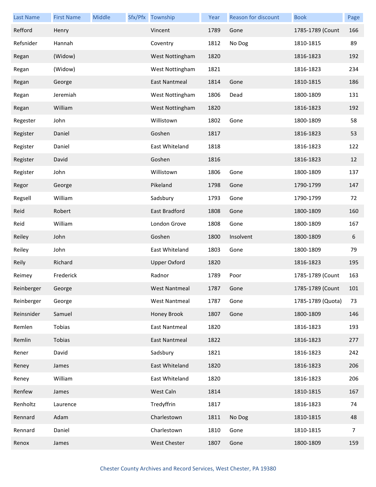| <b>Last Name</b> | <b>First Name</b> | Middle | Sfx/Pfx Township     | Year | Reason for discount | <b>Book</b>       | Page |
|------------------|-------------------|--------|----------------------|------|---------------------|-------------------|------|
| Refford          | Henry             |        | Vincent              | 1789 | Gone                | 1785-1789 (Count  | 166  |
| Refsnider        | Hannah            |        | Coventry             | 1812 | No Dog              | 1810-1815         | 89   |
| Regan            | (Widow)           |        | West Nottingham      | 1820 |                     | 1816-1823         | 192  |
| Regan            | (Widow)           |        | West Nottingham      | 1821 |                     | 1816-1823         | 234  |
| Regan            | George            |        | <b>East Nantmeal</b> | 1814 | Gone                | 1810-1815         | 186  |
| Regan            | Jeremiah          |        | West Nottingham      | 1806 | Dead                | 1800-1809         | 131  |
| Regan            | William           |        | West Nottingham      | 1820 |                     | 1816-1823         | 192  |
| Regester         | John              |        | Willistown           | 1802 | Gone                | 1800-1809         | 58   |
| Register         | Daniel            |        | Goshen               | 1817 |                     | 1816-1823         | 53   |
| Register         | Daniel            |        | East Whiteland       | 1818 |                     | 1816-1823         | 122  |
| Register         | David             |        | Goshen               | 1816 |                     | 1816-1823         | 12   |
| Register         | John              |        | Willistown           | 1806 | Gone                | 1800-1809         | 137  |
| Regor            | George            |        | Pikeland             | 1798 | Gone                | 1790-1799         | 147  |
| Regsell          | William           |        | Sadsbury             | 1793 | Gone                | 1790-1799         | 72   |
| Reid             | Robert            |        | East Bradford        | 1808 | Gone                | 1800-1809         | 160  |
| Reid             | William           |        | London Grove         | 1808 | Gone                | 1800-1809         | 167  |
| Reiley           | John              |        | Goshen               | 1800 | Insolvent           | 1800-1809         | 6    |
| Reiley           | John              |        | East Whiteland       | 1803 | Gone                | 1800-1809         | 79   |
| Reily            | Richard           |        | <b>Upper Oxford</b>  | 1820 |                     | 1816-1823         | 195  |
| Reimey           | Frederick         |        | Radnor               | 1789 | Poor                | 1785-1789 (Count  | 163  |
| Reinberger       | George            |        | <b>West Nantmeal</b> | 1787 | Gone                | 1785-1789 (Count  | 101  |
| Reinberger       | George            |        | <b>West Nantmeal</b> | 1787 | Gone                | 1785-1789 (Quota) | 73   |
| Reinsnider       | Samuel            |        | Honey Brook          | 1807 | Gone                | 1800-1809         | 146  |
| Remlen           | Tobias            |        | East Nantmeal        | 1820 |                     | 1816-1823         | 193  |
| Remlin           | Tobias            |        | <b>East Nantmeal</b> | 1822 |                     | 1816-1823         | 277  |
| Rener            | David             |        | Sadsbury             | 1821 |                     | 1816-1823         | 242  |
| Reney            | James             |        | East Whiteland       | 1820 |                     | 1816-1823         | 206  |
| Reney            | William           |        | East Whiteland       | 1820 |                     | 1816-1823         | 206  |
| Renfew           | James             |        | West Caln            | 1814 |                     | 1810-1815         | 167  |
| Renholtz         | Laurence          |        | Tredyffrin           | 1817 |                     | 1816-1823         | 74   |
| Rennard          | Adam              |        | Charlestown          | 1811 | No Dog              | 1810-1815         | 48   |
| Rennard          | Daniel            |        | Charlestown          | 1810 | Gone                | 1810-1815         | 7    |
| Renox            | James             |        | West Chester         | 1807 | Gone                | 1800-1809         | 159  |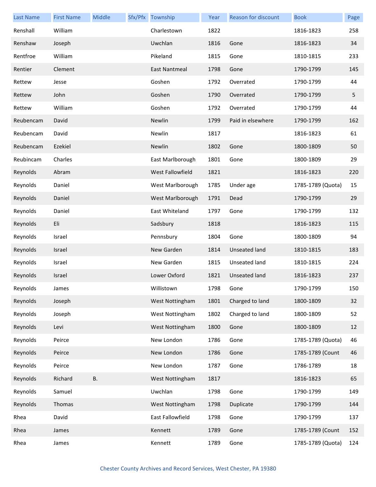| <b>Last Name</b> | <b>First Name</b> | Middle    | Sfx/Pfx Township | Year | <b>Reason for discount</b> | <b>Book</b>       | Page |
|------------------|-------------------|-----------|------------------|------|----------------------------|-------------------|------|
| Renshall         | William           |           | Charlestown      | 1822 |                            | 1816-1823         | 258  |
| Renshaw          | Joseph            |           | Uwchlan          | 1816 | Gone                       | 1816-1823         | 34   |
| Rentfroe         | William           |           | Pikeland         | 1815 | Gone                       | 1810-1815         | 233  |
| Rentier          | Clement           |           | East Nantmeal    | 1798 | Gone                       | 1790-1799         | 145  |
| Rettew           | Jesse             |           | Goshen           | 1792 | Overrated                  | 1790-1799         | 44   |
| Rettew           | John              |           | Goshen           | 1790 | Overrated                  | 1790-1799         | 5    |
| Rettew           | William           |           | Goshen           | 1792 | Overrated                  | 1790-1799         | 44   |
| Reubencam        | David             |           | Newlin           | 1799 | Paid in elsewhere          | 1790-1799         | 162  |
| Reubencam        | David             |           | Newlin           | 1817 |                            | 1816-1823         | 61   |
| Reubencam        | Ezekiel           |           | Newlin           | 1802 | Gone                       | 1800-1809         | 50   |
| Reubincam        | Charles           |           | East Marlborough | 1801 | Gone                       | 1800-1809         | 29   |
| Reynolds         | Abram             |           | West Fallowfield | 1821 |                            | 1816-1823         | 220  |
| Reynolds         | Daniel            |           | West Marlborough | 1785 | Under age                  | 1785-1789 (Quota) | 15   |
| Reynolds         | Daniel            |           | West Marlborough | 1791 | Dead                       | 1790-1799         | 29   |
| Reynolds         | Daniel            |           | East Whiteland   | 1797 | Gone                       | 1790-1799         | 132  |
| Reynolds         | Eli               |           | Sadsbury         | 1818 |                            | 1816-1823         | 115  |
| Reynolds         | Israel            |           | Pennsbury        | 1804 | Gone                       | 1800-1809         | 94   |
| Reynolds         | Israel            |           | New Garden       | 1814 | Unseated land              | 1810-1815         | 183  |
| Reynolds         | Israel            |           | New Garden       | 1815 | Unseated land              | 1810-1815         | 224  |
| Reynolds         | Israel            |           | Lower Oxford     | 1821 | Unseated land              | 1816-1823         | 237  |
| Reynolds         | James             |           | Willistown       | 1798 | Gone                       | 1790-1799         | 150  |
| Reynolds         | Joseph            |           | West Nottingham  | 1801 | Charged to land            | 1800-1809         | 32   |
| Reynolds         | Joseph            |           | West Nottingham  | 1802 | Charged to land            | 1800-1809         | 52   |
| Reynolds         | Levi              |           | West Nottingham  | 1800 | Gone                       | 1800-1809         | 12   |
| Reynolds         | Peirce            |           | New London       | 1786 | Gone                       | 1785-1789 (Quota) | 46   |
| Reynolds         | Peirce            |           | New London       | 1786 | Gone                       | 1785-1789 (Count  | 46   |
| Reynolds         | Peirce            |           | New London       | 1787 | Gone                       | 1786-1789         | 18   |
| Reynolds         | Richard           | <b>B.</b> | West Nottingham  | 1817 |                            | 1816-1823         | 65   |
| Reynolds         | Samuel            |           | Uwchlan          | 1798 | Gone                       | 1790-1799         | 149  |
| Reynolds         | Thomas            |           | West Nottingham  | 1798 | Duplicate                  | 1790-1799         | 144  |
| Rhea             | David             |           | East Fallowfield | 1798 | Gone                       | 1790-1799         | 137  |
| Rhea             | James             |           | Kennett          | 1789 | Gone                       | 1785-1789 (Count  | 152  |
| Rhea             | James             |           | Kennett          | 1789 | Gone                       | 1785-1789 (Quota) | 124  |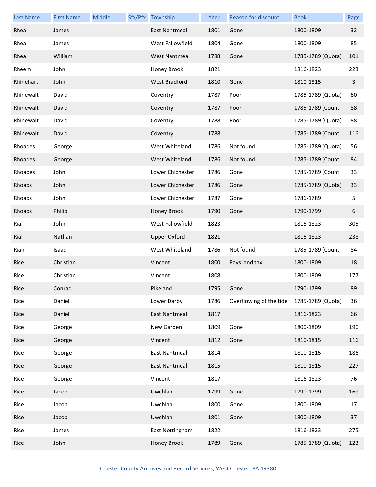| <b>Last Name</b> | <b>First Name</b> | Middle | Sfx/Pfx Township     | Year | <b>Reason for discount</b> | <b>Book</b>       | Page |
|------------------|-------------------|--------|----------------------|------|----------------------------|-------------------|------|
| Rhea             | James             |        | <b>East Nantmeal</b> | 1801 | Gone                       | 1800-1809         | 32   |
| Rhea             | James             |        | West Fallowfield     | 1804 | Gone                       | 1800-1809         | 85   |
| Rhea             | William           |        | <b>West Nantmeal</b> | 1788 | Gone                       | 1785-1789 (Quota) | 101  |
| Rheem            | John              |        | Honey Brook          | 1821 |                            | 1816-1823         | 223  |
| Rhinehart        | John              |        | <b>West Bradford</b> | 1810 | Gone                       | 1810-1815         | 3    |
| Rhinewalt        | David             |        | Coventry             | 1787 | Poor                       | 1785-1789 (Quota) | 60   |
| Rhinewalt        | David             |        | Coventry             | 1787 | Poor                       | 1785-1789 (Count  | 88   |
| Rhinewalt        | David             |        | Coventry             | 1788 | Poor                       | 1785-1789 (Quota) | 88   |
| Rhinewalt        | David             |        | Coventry             | 1788 |                            | 1785-1789 (Count  | 116  |
| Rhoades          | George            |        | West Whiteland       | 1786 | Not found                  | 1785-1789 (Quota) | 56   |
| Rhoades          | George            |        | West Whiteland       | 1786 | Not found                  | 1785-1789 (Count  | 84   |
| Rhoades          | John              |        | Lower Chichester     | 1786 | Gone                       | 1785-1789 (Count  | 33   |
| Rhoads           | John              |        | Lower Chichester     | 1786 | Gone                       | 1785-1789 (Quota) | 33   |
| Rhoads           | John              |        | Lower Chichester     | 1787 | Gone                       | 1786-1789         | 5    |
| Rhoads           | Philip            |        | Honey Brook          | 1790 | Gone                       | 1790-1799         | 6    |
| Rial             | John              |        | West Fallowfield     | 1823 |                            | 1816-1823         | 305  |
| Rial             | Nathan            |        | <b>Upper Oxford</b>  | 1821 |                            | 1816-1823         | 238  |
| Rian             | Isaac             |        | West Whiteland       | 1786 | Not found                  | 1785-1789 (Count  | 84   |
| Rice             | Christian         |        | Vincent              | 1800 | Pays land tax              | 1800-1809         | 18   |
| Rice             | Christian         |        | Vincent              | 1808 |                            | 1800-1809         | 177  |
| Rice             | Conrad            |        | Pikeland             | 1795 | Gone                       | 1790-1799         | 89   |
| Rice             | Daniel            |        | Lower Darby          | 1786 | Overflowing of the tide    | 1785-1789 (Quota) | 36   |
| Rice             | Daniel            |        | East Nantmeal        | 1817 |                            | 1816-1823         | 66   |
| Rice             | George            |        | New Garden           | 1809 | Gone                       | 1800-1809         | 190  |
| Rice             | George            |        | Vincent              | 1812 | Gone                       | 1810-1815         | 116  |
| Rice             | George            |        | <b>East Nantmeal</b> | 1814 |                            | 1810-1815         | 186  |
| Rice             | George            |        | East Nantmeal        | 1815 |                            | 1810-1815         | 227  |
| Rice             | George            |        | Vincent              | 1817 |                            | 1816-1823         | 76   |
| Rice             | Jacob             |        | Uwchlan              | 1799 | Gone                       | 1790-1799         | 169  |
| Rice             | Jacob             |        | Uwchlan              | 1800 | Gone                       | 1800-1809         | 17   |
| Rice             | Jacob             |        | Uwchlan              | 1801 | Gone                       | 1800-1809         | 37   |
| Rice             | James             |        | East Nottingham      | 1822 |                            | 1816-1823         | 275  |
| Rice             | John              |        | Honey Brook          | 1789 | Gone                       | 1785-1789 (Quota) | 123  |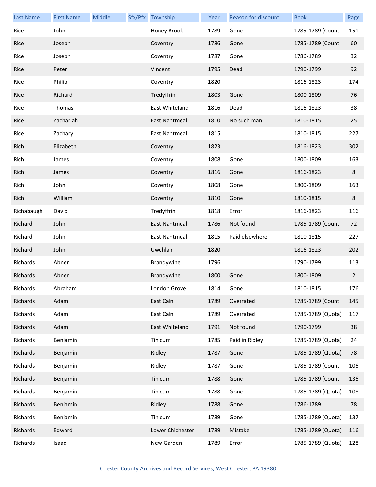| <b>Last Name</b> | <b>First Name</b> | Middle | Sfx/Pfx Township     | Year | <b>Reason for discount</b> | <b>Book</b>       | Page           |
|------------------|-------------------|--------|----------------------|------|----------------------------|-------------------|----------------|
| Rice             | John              |        | Honey Brook          | 1789 | Gone                       | 1785-1789 (Count  | 151            |
| Rice             | Joseph            |        | Coventry             | 1786 | Gone                       | 1785-1789 (Count  | 60             |
| Rice             | Joseph            |        | Coventry             | 1787 | Gone                       | 1786-1789         | 32             |
| Rice             | Peter             |        | Vincent              | 1795 | Dead                       | 1790-1799         | 92             |
| Rice             | Philip            |        | Coventry             | 1820 |                            | 1816-1823         | 174            |
| Rice             | Richard           |        | Tredyffrin           | 1803 | Gone                       | 1800-1809         | 76             |
| Rice             | Thomas            |        | East Whiteland       | 1816 | Dead                       | 1816-1823         | 38             |
| Rice             | Zachariah         |        | East Nantmeal        | 1810 | No such man                | 1810-1815         | 25             |
| Rice             | Zachary           |        | <b>East Nantmeal</b> | 1815 |                            | 1810-1815         | 227            |
| Rich             | Elizabeth         |        | Coventry             | 1823 |                            | 1816-1823         | 302            |
| Rich             | James             |        | Coventry             | 1808 | Gone                       | 1800-1809         | 163            |
| Rich             | James             |        | Coventry             | 1816 | Gone                       | 1816-1823         | 8              |
| Rich             | John              |        | Coventry             | 1808 | Gone                       | 1800-1809         | 163            |
| Rich             | William           |        | Coventry             | 1810 | Gone                       | 1810-1815         | 8              |
| Richabaugh       | David             |        | Tredyffrin           | 1818 | Error                      | 1816-1823         | 116            |
| Richard          | John              |        | East Nantmeal        | 1786 | Not found                  | 1785-1789 (Count  | 72             |
| Richard          | John              |        | <b>East Nantmeal</b> | 1815 | Paid elsewhere             | 1810-1815         | 227            |
| Richard          | John              |        | Uwchlan              | 1820 |                            | 1816-1823         | 202            |
| Richards         | Abner             |        | Brandywine           | 1796 |                            | 1790-1799         | 113            |
| Richards         | Abner             |        | Brandywine           | 1800 | Gone                       | 1800-1809         | $\overline{2}$ |
| Richards         | Abraham           |        | London Grove         | 1814 | Gone                       | 1810-1815         | 176            |
| Richards         | Adam              |        | East Caln            | 1789 | Overrated                  | 1785-1789 (Count  | 145            |
| Richards         | Adam              |        | East Caln            | 1789 | Overrated                  | 1785-1789 (Quota) | 117            |
| Richards         | Adam              |        | East Whiteland       | 1791 | Not found                  | 1790-1799         | 38             |
| Richards         | Benjamin          |        | Tinicum              | 1785 | Paid in Ridley             | 1785-1789 (Quota) | 24             |
| Richards         | Benjamin          |        | Ridley               | 1787 | Gone                       | 1785-1789 (Quota) | 78             |
| Richards         | Benjamin          |        | Ridley               | 1787 | Gone                       | 1785-1789 (Count  | 106            |
| Richards         | Benjamin          |        | Tinicum              | 1788 | Gone                       | 1785-1789 (Count  | 136            |
| Richards         | Benjamin          |        | Tinicum              | 1788 | Gone                       | 1785-1789 (Quota) | 108            |
| Richards         | Benjamin          |        | Ridley               | 1788 | Gone                       | 1786-1789         | 78             |
| Richards         | Benjamin          |        | Tinicum              | 1789 | Gone                       | 1785-1789 (Quota) | 137            |
| Richards         | Edward            |        | Lower Chichester     | 1789 | Mistake                    | 1785-1789 (Quota) | 116            |
| Richards         | Isaac             |        | New Garden           | 1789 | Error                      | 1785-1789 (Quota) | 128            |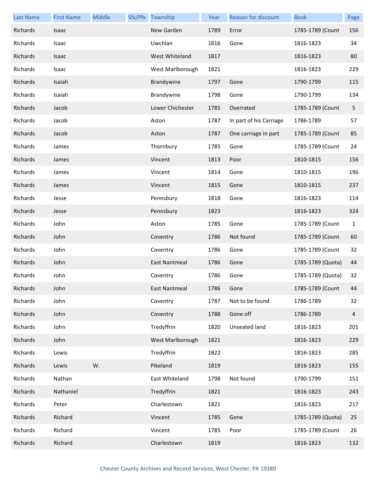| <b>Last Name</b> | <b>First Name</b> | Middle | Sfx/Pfx Township     | Year | Reason for discount     | <b>Book</b>       | Page           |
|------------------|-------------------|--------|----------------------|------|-------------------------|-------------------|----------------|
| Richards         | Isaac             |        | New Garden           | 1789 | Error                   | 1785-1789 (Count  | 156            |
| Richards         | Isaac             |        | Uwchlan              | 1816 | Gone                    | 1816-1823         | 34             |
| Richards         | Isaac             |        | West Whiteland       | 1817 |                         | 1816-1823         | 80             |
| Richards         | Isaac             |        | West Marlborough     | 1821 |                         | 1816-1823         | 229            |
| Richards         | Isaiah            |        | Brandywine           | 1797 | Gone                    | 1790-1799         | 115            |
| Richards         | Isaiah            |        | Brandywine           | 1798 | Gone                    | 1790-1799         | 134            |
| Richards         | Jacob             |        | Lower Chichester     | 1785 | Overrated               | 1785-1789 (Count  | 5              |
| Richards         | Jacob             |        | Aston                | 1787 | In part of his Carriage | 1786-1789         | 57             |
| Richards         | Jacob             |        | Aston                | 1787 | One carriage in part    | 1785-1789 (Count  | 85             |
| Richards         | James             |        | Thornbury            | 1785 | Gone                    | 1785-1789 (Count  | 24             |
| Richards         | James             |        | Vincent              | 1813 | Poor                    | 1810-1815         | 156            |
| Richards         | James             |        | Vincent              | 1814 | Gone                    | 1810-1815         | 196            |
| Richards         | James             |        | Vincent              | 1815 | Gone                    | 1810-1815         | 237            |
| Richards         | Jesse             |        | Pennsbury            | 1818 | Gone                    | 1816-1823         | 114            |
| Richards         | Jesse             |        | Pennsbury            | 1823 |                         | 1816-1823         | 324            |
| Richards         | John              |        | Aston                | 1785 | Gone                    | 1785-1789 (Count  | $\mathbf{1}$   |
| Richards         | John              |        | Coventry             | 1786 | Not found               | 1785-1789 (Count  | 60             |
| Richards         | John              |        | Coventry             | 1786 | Gone                    | 1785-1789 (Count  | 32             |
| Richards         | John              |        | <b>East Nantmeal</b> | 1786 | Gone                    | 1785-1789 (Quota) | 44             |
| Richards         | John              |        | Coventry             | 1786 | Gone                    | 1785-1789 (Quota) | 32             |
| Richards         | John              |        | East Nantmeal        | 1786 | Gone                    | 1785-1789 (Count  | 44             |
| Richards         | John              |        | Coventry             | 1787 | Not to be found         | 1786-1789         | 32             |
| Richards         | John              |        | Coventry             | 1788 | Gone off                | 1786-1789         | $\overline{4}$ |
| Richards         | John              |        | Tredyffrin           | 1820 | Unseated land           | 1816-1823         | 201            |
| Richards         | John              |        | West Marlborough     | 1821 |                         | 1816-1823         | 229            |
| Richards         | Lewis             |        | Tredyffrin           | 1822 |                         | 1816-1823         | 285            |
| Richards         | Lewis             | W.     | Pikeland             | 1819 |                         | 1816-1823         | 155            |
| Richards         | Nathan            |        | East Whiteland       | 1798 | Not found               | 1790-1799         | 151            |
| Richards         | Nathaniel         |        | Tredyffrin           | 1821 |                         | 1816-1823         | 243            |
| Richards         | Peter             |        | Charlestown          | 1821 |                         | 1816-1823         | 217            |
| Richards         | Richard           |        | Vincent              | 1785 | Gone                    | 1785-1789 (Quota) | 25             |
| Richards         | Richard           |        | Vincent              | 1785 | Poor                    | 1785-1789 (Count  | 26             |
| Richards         | Richard           |        | Charlestown          | 1819 |                         | 1816-1823         | 132            |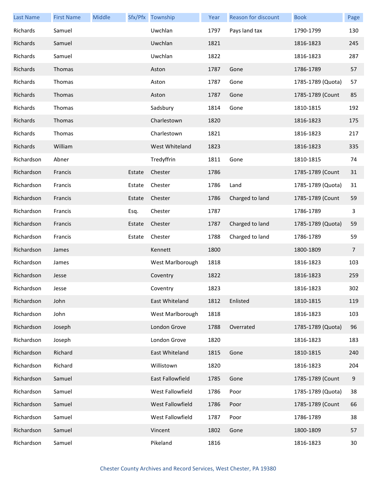| <b>Last Name</b> | <b>First Name</b> | Middle |        | Sfx/Pfx Township | Year | <b>Reason for discount</b> | <b>Book</b>       | Page |
|------------------|-------------------|--------|--------|------------------|------|----------------------------|-------------------|------|
| Richards         | Samuel            |        |        | Uwchlan          | 1797 | Pays land tax              | 1790-1799         | 130  |
| Richards         | Samuel            |        |        | Uwchlan          | 1821 |                            | 1816-1823         | 245  |
| Richards         | Samuel            |        |        | Uwchlan          | 1822 |                            | 1816-1823         | 287  |
| Richards         | Thomas            |        |        | Aston            | 1787 | Gone                       | 1786-1789         | 57   |
| Richards         | Thomas            |        |        | Aston            | 1787 | Gone                       | 1785-1789 (Quota) | 57   |
| Richards         | Thomas            |        |        | Aston            | 1787 | Gone                       | 1785-1789 (Count  | 85   |
| Richards         | Thomas            |        |        | Sadsbury         | 1814 | Gone                       | 1810-1815         | 192  |
| Richards         | Thomas            |        |        | Charlestown      | 1820 |                            | 1816-1823         | 175  |
| Richards         | Thomas            |        |        | Charlestown      | 1821 |                            | 1816-1823         | 217  |
| Richards         | William           |        |        | West Whiteland   | 1823 |                            | 1816-1823         | 335  |
| Richardson       | Abner             |        |        | Tredyffrin       | 1811 | Gone                       | 1810-1815         | 74   |
| Richardson       | Francis           |        | Estate | Chester          | 1786 |                            | 1785-1789 (Count  | 31   |
| Richardson       | Francis           |        | Estate | Chester          | 1786 | Land                       | 1785-1789 (Quota) | 31   |
| Richardson       | Francis           |        | Estate | Chester          | 1786 | Charged to land            | 1785-1789 (Count  | 59   |
| Richardson       | Francis           |        | Esq.   | Chester          | 1787 |                            | 1786-1789         | 3    |
| Richardson       | Francis           |        | Estate | Chester          | 1787 | Charged to land            | 1785-1789 (Quota) | 59   |
| Richardson       | Francis           |        | Estate | Chester          | 1788 | Charged to land            | 1786-1789         | 59   |
| Richardson       | James             |        |        | Kennett          | 1800 |                            | 1800-1809         | 7    |
| Richardson       | James             |        |        | West Marlborough | 1818 |                            | 1816-1823         | 103  |
| Richardson       | Jesse             |        |        | Coventry         | 1822 |                            | 1816-1823         | 259  |
| Richardson       | Jesse             |        |        | Coventry         | 1823 |                            | 1816-1823         | 302  |
| Richardson       | John              |        |        | East Whiteland   | 1812 | Enlisted                   | 1810-1815         | 119  |
| Richardson       | John              |        |        | West Marlborough | 1818 |                            | 1816-1823         | 103  |
| Richardson       | Joseph            |        |        | London Grove     | 1788 | Overrated                  | 1785-1789 (Quota) | 96   |
| Richardson       | Joseph            |        |        | London Grove     | 1820 |                            | 1816-1823         | 183  |
| Richardson       | Richard           |        |        | East Whiteland   | 1815 | Gone                       | 1810-1815         | 240  |
| Richardson       | Richard           |        |        | Willistown       | 1820 |                            | 1816-1823         | 204  |
| Richardson       | Samuel            |        |        | East Fallowfield | 1785 | Gone                       | 1785-1789 (Count  | 9    |
| Richardson       | Samuel            |        |        | West Fallowfield | 1786 | Poor                       | 1785-1789 (Quota) | 38   |
| Richardson       | Samuel            |        |        | West Fallowfield | 1786 | Poor                       | 1785-1789 (Count  | 66   |
| Richardson       | Samuel            |        |        | West Fallowfield | 1787 | Poor                       | 1786-1789         | 38   |
| Richardson       | Samuel            |        |        | Vincent          | 1802 | Gone                       | 1800-1809         | 57   |
| Richardson       | Samuel            |        |        | Pikeland         | 1816 |                            | 1816-1823         | 30   |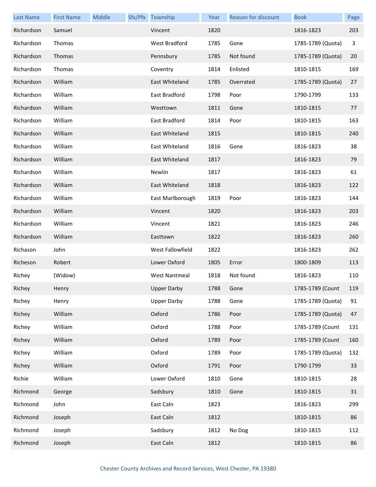| <b>Last Name</b> | <b>First Name</b> | Middle | Sfx/Pfx Township     | Year | <b>Reason for discount</b> | <b>Book</b>       | Page |
|------------------|-------------------|--------|----------------------|------|----------------------------|-------------------|------|
| Richardson       | Samuel            |        | Vincent              | 1820 |                            | 1816-1823         | 203  |
| Richardson       | Thomas            |        | West Bradford        | 1785 | Gone                       | 1785-1789 (Quota) | 3    |
| Richardson       | Thomas            |        | Pennsbury            | 1785 | Not found                  | 1785-1789 (Quota) | 20   |
| Richardson       | Thomas            |        | Coventry             | 1814 | Enlisted                   | 1810-1815         | 169  |
| Richardson       | William           |        | East Whiteland       | 1785 | Overrated                  | 1785-1789 (Quota) | 27   |
| Richardson       | William           |        | <b>East Bradford</b> | 1798 | Poor                       | 1790-1799         | 133  |
| Richardson       | William           |        | Westtown             | 1811 | Gone                       | 1810-1815         | 77   |
| Richardson       | William           |        | East Bradford        | 1814 | Poor                       | 1810-1815         | 163  |
| Richardson       | William           |        | East Whiteland       | 1815 |                            | 1810-1815         | 240  |
| Richardson       | William           |        | East Whiteland       | 1816 | Gone                       | 1816-1823         | 38   |
| Richardson       | William           |        | East Whiteland       | 1817 |                            | 1816-1823         | 79   |
| Richardson       | William           |        | Newlin               | 1817 |                            | 1816-1823         | 61   |
| Richardson       | William           |        | East Whiteland       | 1818 |                            | 1816-1823         | 122  |
| Richardson       | William           |        | East Marlborough     | 1819 | Poor                       | 1816-1823         | 144  |
| Richardson       | William           |        | Vincent              | 1820 |                            | 1816-1823         | 203  |
| Richardson       | William           |        | Vincent              | 1821 |                            | 1816-1823         | 246  |
| Richardson       | William           |        | Easttown             | 1822 |                            | 1816-1823         | 260  |
| Richason         | John              |        | West Fallowfield     | 1822 |                            | 1816-1823         | 262  |
| Richeson         | Robert            |        | Lower Oxford         | 1805 | Error                      | 1800-1809         | 113  |
| Richey           | (Widow)           |        | <b>West Nantmeal</b> | 1818 | Not found                  | 1816-1823         | 110  |
| Richey           | Henry             |        | <b>Upper Darby</b>   | 1788 | Gone                       | 1785-1789 (Count  | 119  |
| Richey           | Henry             |        | <b>Upper Darby</b>   | 1788 | Gone                       | 1785-1789 (Quota) | 91   |
| Richey           | William           |        | Oxford               | 1786 | Poor                       | 1785-1789 (Quota) | 47   |
| Richey           | William           |        | Oxford               | 1788 | Poor                       | 1785-1789 (Count  | 131  |
| Richey           | William           |        | Oxford               | 1789 | Poor                       | 1785-1789 (Count  | 160  |
| Richey           | William           |        | Oxford               | 1789 | Poor                       | 1785-1789 (Quota) | 132  |
| Richey           | William           |        | Oxford               | 1791 | Poor                       | 1790-1799         | 33   |
| Richie           | William           |        | Lower Oxford         | 1810 | Gone                       | 1810-1815         | 28   |
| Richmond         | George            |        | Sadsbury             | 1810 | Gone                       | 1810-1815         | 31   |
| Richmond         | John              |        | East Caln            | 1823 |                            | 1816-1823         | 299  |
| Richmond         | Joseph            |        | East Caln            | 1812 |                            | 1810-1815         | 86   |
| Richmond         | Joseph            |        | Sadsbury             | 1812 | No Dog                     | 1810-1815         | 112  |
| Richmond         | Joseph            |        | East Caln            | 1812 |                            | 1810-1815         | 86   |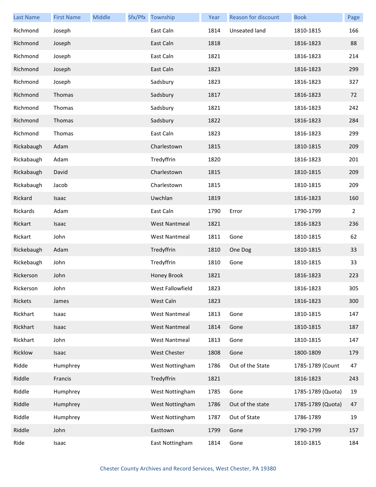| <b>Last Name</b> | <b>First Name</b> | Middle | Sfx/Pfx Township     | Year | Reason for discount | <b>Book</b>       | Page           |
|------------------|-------------------|--------|----------------------|------|---------------------|-------------------|----------------|
| Richmond         | Joseph            |        | East Caln            | 1814 | Unseated land       | 1810-1815         | 166            |
| Richmond         | Joseph            |        | East Caln            | 1818 |                     | 1816-1823         | 88             |
| Richmond         | Joseph            |        | East Caln            | 1821 |                     | 1816-1823         | 214            |
| Richmond         | Joseph            |        | East Caln            | 1823 |                     | 1816-1823         | 299            |
| Richmond         | Joseph            |        | Sadsbury             | 1823 |                     | 1816-1823         | 327            |
| Richmond         | Thomas            |        | Sadsbury             | 1817 |                     | 1816-1823         | 72             |
| Richmond         | Thomas            |        | Sadsbury             | 1821 |                     | 1816-1823         | 242            |
| Richmond         | Thomas            |        | Sadsbury             | 1822 |                     | 1816-1823         | 284            |
| Richmond         | Thomas            |        | East Caln            | 1823 |                     | 1816-1823         | 299            |
| Rickabaugh       | Adam              |        | Charlestown          | 1815 |                     | 1810-1815         | 209            |
| Rickabaugh       | Adam              |        | Tredyffrin           | 1820 |                     | 1816-1823         | 201            |
| Rickabaugh       | David             |        | Charlestown          | 1815 |                     | 1810-1815         | 209            |
| Rickabaugh       | Jacob             |        | Charlestown          | 1815 |                     | 1810-1815         | 209            |
| Rickard          | Isaac             |        | Uwchlan              | 1819 |                     | 1816-1823         | 160            |
| Rickards         | Adam              |        | East Caln            | 1790 | Error               | 1790-1799         | $\overline{2}$ |
| Rickart          | Isaac             |        | <b>West Nantmeal</b> | 1821 |                     | 1816-1823         | 236            |
| Rickart          | John              |        | <b>West Nantmeal</b> | 1811 | Gone                | 1810-1815         | 62             |
| Rickebaugh       | Adam              |        | Tredyffrin           | 1810 | One Dog             | 1810-1815         | 33             |
| Rickebaugh       | John              |        | Tredyffrin           | 1810 | Gone                | 1810-1815         | 33             |
| Rickerson        | John              |        | Honey Brook          | 1821 |                     | 1816-1823         | 223            |
| Rickerson        | John              |        | West Fallowfield     | 1823 |                     | 1816-1823         | 305            |
| Rickets          | James             |        | West Caln            | 1823 |                     | 1816-1823         | 300            |
| Rickhart         | Isaac             |        | <b>West Nantmeal</b> | 1813 | Gone                | 1810-1815         | 147            |
| Rickhart         | Isaac             |        | <b>West Nantmeal</b> | 1814 | Gone                | 1810-1815         | 187            |
| Rickhart         | John              |        | <b>West Nantmeal</b> | 1813 | Gone                | 1810-1815         | 147            |
| Ricklow          | Isaac             |        | West Chester         | 1808 | Gone                | 1800-1809         | 179            |
| Ridde            | Humphrey          |        | West Nottingham      | 1786 | Out of the State    | 1785-1789 (Count  | 47             |
| Riddle           | Francis           |        | Tredyffrin           | 1821 |                     | 1816-1823         | 243            |
| Riddle           | Humphrey          |        | West Nottingham      | 1785 | Gone                | 1785-1789 (Quota) | 19             |
| Riddle           | Humphrey          |        | West Nottingham      | 1786 | Out of the state    | 1785-1789 (Quota) | 47             |
| Riddle           | Humphrey          |        | West Nottingham      | 1787 | Out of State        | 1786-1789         | 19             |
| Riddle           | John              |        | Easttown             | 1799 | Gone                | 1790-1799         | 157            |
| Ride             | Isaac             |        | East Nottingham      | 1814 | Gone                | 1810-1815         | 184            |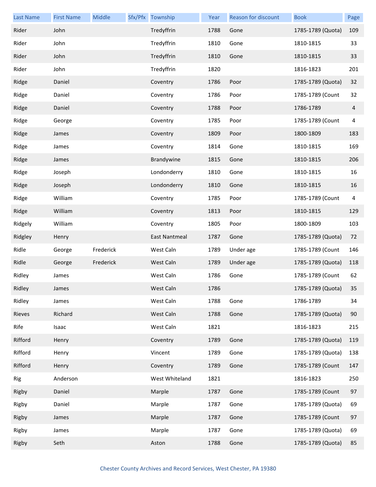| <b>Last Name</b> | <b>First Name</b> | Middle    | Sfx/Pfx Township | Year | Reason for discount | <b>Book</b>       | Page |
|------------------|-------------------|-----------|------------------|------|---------------------|-------------------|------|
| Rider            | John              |           | Tredyffrin       | 1788 | Gone                | 1785-1789 (Quota) | 109  |
| Rider            | John              |           | Tredyffrin       | 1810 | Gone                | 1810-1815         | 33   |
| Rider            | John              |           | Tredyffrin       | 1810 | Gone                | 1810-1815         | 33   |
| Rider            | John              |           | Tredyffrin       | 1820 |                     | 1816-1823         | 201  |
| Ridge            | Daniel            |           | Coventry         | 1786 | Poor                | 1785-1789 (Quota) | 32   |
| Ridge            | Daniel            |           | Coventry         | 1786 | Poor                | 1785-1789 (Count  | 32   |
| Ridge            | Daniel            |           | Coventry         | 1788 | Poor                | 1786-1789         | 4    |
| Ridge            | George            |           | Coventry         | 1785 | Poor                | 1785-1789 (Count  | 4    |
| Ridge            | James             |           | Coventry         | 1809 | Poor                | 1800-1809         | 183  |
| Ridge            | James             |           | Coventry         | 1814 | Gone                | 1810-1815         | 169  |
| Ridge            | James             |           | Brandywine       | 1815 | Gone                | 1810-1815         | 206  |
| Ridge            | Joseph            |           | Londonderry      | 1810 | Gone                | 1810-1815         | 16   |
| Ridge            | Joseph            |           | Londonderry      | 1810 | Gone                | 1810-1815         | 16   |
| Ridge            | William           |           | Coventry         | 1785 | Poor                | 1785-1789 (Count  | 4    |
| Ridge            | William           |           | Coventry         | 1813 | Poor                | 1810-1815         | 129  |
| Ridgely          | William           |           | Coventry         | 1805 | Poor                | 1800-1809         | 103  |
| Ridgley          | Henry             |           | East Nantmeal    | 1787 | Gone                | 1785-1789 (Quota) | 72   |
| Ridle            | George            | Frederick | West Caln        | 1789 | Under age           | 1785-1789 (Count  | 146  |
| Ridle            | George            | Frederick | West Caln        | 1789 | Under age           | 1785-1789 (Quota) | 118  |
| Ridley           | James             |           | West Caln        | 1786 | Gone                | 1785-1789 (Count  | 62   |
| Ridley           | James             |           | West Caln        | 1786 |                     | 1785-1789 (Quota) | 35   |
| Ridley           | James             |           | West Caln        | 1788 | Gone                | 1786-1789         | 34   |
| Rieves           | Richard           |           | West Caln        | 1788 | Gone                | 1785-1789 (Quota) | 90   |
| Rife             | Isaac             |           | West Caln        | 1821 |                     | 1816-1823         | 215  |
| Rifford          | Henry             |           | Coventry         | 1789 | Gone                | 1785-1789 (Quota) | 119  |
| Rifford          | Henry             |           | Vincent          | 1789 | Gone                | 1785-1789 (Quota) | 138  |
| Rifford          | Henry             |           | Coventry         | 1789 | Gone                | 1785-1789 (Count  | 147  |
| Rig              | Anderson          |           | West Whiteland   | 1821 |                     | 1816-1823         | 250  |
| Rigby            | Daniel            |           | Marple           | 1787 | Gone                | 1785-1789 (Count  | 97   |
| Rigby            | Daniel            |           | Marple           | 1787 | Gone                | 1785-1789 (Quota) | 69   |
| Rigby            | James             |           | Marple           | 1787 | Gone                | 1785-1789 (Count  | 97   |
| Rigby            | James             |           | Marple           | 1787 | Gone                | 1785-1789 (Quota) | 69   |
| Rigby            | Seth              |           | Aston            | 1788 | Gone                | 1785-1789 (Quota) | 85   |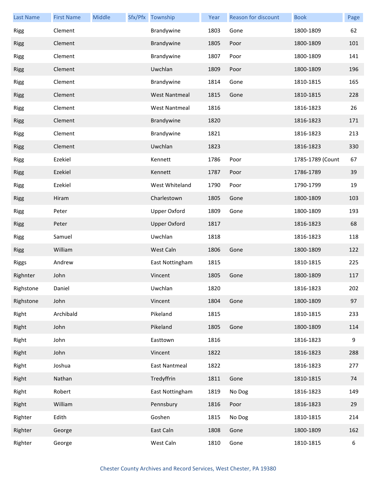| <b>Last Name</b> | <b>First Name</b> | Middle | Sfx/Pfx Township     | Year | Reason for discount | <b>Book</b>      | Page |
|------------------|-------------------|--------|----------------------|------|---------------------|------------------|------|
| Rigg             | Clement           |        | Brandywine           | 1803 | Gone                | 1800-1809        | 62   |
| Rigg             | Clement           |        | Brandywine           | 1805 | Poor                | 1800-1809        | 101  |
| <b>Rigg</b>      | Clement           |        | Brandywine           | 1807 | Poor                | 1800-1809        | 141  |
| <b>Rigg</b>      | Clement           |        | Uwchlan              | 1809 | Poor                | 1800-1809        | 196  |
| <b>Rigg</b>      | Clement           |        | Brandywine           | 1814 | Gone                | 1810-1815        | 165  |
| Rigg             | Clement           |        | <b>West Nantmeal</b> | 1815 | Gone                | 1810-1815        | 228  |
| <b>Rigg</b>      | Clement           |        | <b>West Nantmeal</b> | 1816 |                     | 1816-1823        | 26   |
| <b>Rigg</b>      | Clement           |        | Brandywine           | 1820 |                     | 1816-1823        | 171  |
| <b>Rigg</b>      | Clement           |        | Brandywine           | 1821 |                     | 1816-1823        | 213  |
| Rigg             | Clement           |        | Uwchlan              | 1823 |                     | 1816-1823        | 330  |
| <b>Rigg</b>      | Ezekiel           |        | Kennett              | 1786 | Poor                | 1785-1789 (Count | 67   |
| <b>Rigg</b>      | Ezekiel           |        | Kennett              | 1787 | Poor                | 1786-1789        | 39   |
| <b>Rigg</b>      | Ezekiel           |        | West Whiteland       | 1790 | Poor                | 1790-1799        | 19   |
| Rigg             | Hiram             |        | Charlestown          | 1805 | Gone                | 1800-1809        | 103  |
| <b>Rigg</b>      | Peter             |        | Upper Oxford         | 1809 | Gone                | 1800-1809        | 193  |
| <b>Rigg</b>      | Peter             |        | <b>Upper Oxford</b>  | 1817 |                     | 1816-1823        | 68   |
| <b>Rigg</b>      | Samuel            |        | Uwchlan              | 1818 |                     | 1816-1823        | 118  |
| <b>Rigg</b>      | William           |        | West Caln            | 1806 | Gone                | 1800-1809        | 122  |
| Riggs            | Andrew            |        | East Nottingham      | 1815 |                     | 1810-1815        | 225  |
| Righnter         | John              |        | Vincent              | 1805 | Gone                | 1800-1809        | 117  |
| Righstone        | Daniel            |        | Uwchlan              | 1820 |                     | 1816-1823        | 202  |
| Righstone        | John              |        | Vincent              | 1804 | Gone                | 1800-1809        | 97   |
| Right            | Archibald         |        | Pikeland             | 1815 |                     | 1810-1815        | 233  |
| Right            | John              |        | Pikeland             | 1805 | Gone                | 1800-1809        | 114  |
| Right            | John              |        | Easttown             | 1816 |                     | 1816-1823        | 9    |
| Right            | John              |        | Vincent              | 1822 |                     | 1816-1823        | 288  |
| Right            | Joshua            |        | <b>East Nantmeal</b> | 1822 |                     | 1816-1823        | 277  |
| Right            | Nathan            |        | Tredyffrin           | 1811 | Gone                | 1810-1815        | 74   |
| Right            | Robert            |        | East Nottingham      | 1819 | No Dog              | 1816-1823        | 149  |
| Right            | William           |        | Pennsbury            | 1816 | Poor                | 1816-1823        | 29   |
| Righter          | Edith             |        | Goshen               | 1815 | No Dog              | 1810-1815        | 214  |
| Righter          | George            |        | East Caln            | 1808 | Gone                | 1800-1809        | 162  |
| Righter          | George            |        | West Caln            | 1810 | Gone                | 1810-1815        | 6    |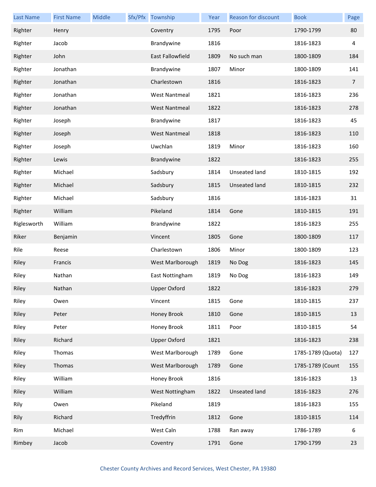| <b>Last Name</b> | <b>First Name</b> | Middle | Sfx/Pfx Township     | Year | Reason for discount  | <b>Book</b>       | Page            |
|------------------|-------------------|--------|----------------------|------|----------------------|-------------------|-----------------|
| Righter          | Henry             |        | Coventry             | 1795 | Poor                 | 1790-1799         | 80              |
| Righter          | Jacob             |        | Brandywine           | 1816 |                      | 1816-1823         | 4               |
| Righter          | John              |        | East Fallowfield     | 1809 | No such man          | 1800-1809         | 184             |
| Righter          | Jonathan          |        | Brandywine           | 1807 | Minor                | 1800-1809         | 141             |
| Righter          | Jonathan          |        | Charlestown          | 1816 |                      | 1816-1823         | $7\overline{ }$ |
| Righter          | Jonathan          |        | <b>West Nantmeal</b> | 1821 |                      | 1816-1823         | 236             |
| Righter          | Jonathan          |        | <b>West Nantmeal</b> | 1822 |                      | 1816-1823         | 278             |
| Righter          | Joseph            |        | Brandywine           | 1817 |                      | 1816-1823         | 45              |
| Righter          | Joseph            |        | <b>West Nantmeal</b> | 1818 |                      | 1816-1823         | 110             |
| Righter          | Joseph            |        | Uwchlan              | 1819 | Minor                | 1816-1823         | 160             |
| Righter          | Lewis             |        | Brandywine           | 1822 |                      | 1816-1823         | 255             |
| Righter          | Michael           |        | Sadsbury             | 1814 | Unseated land        | 1810-1815         | 192             |
| Righter          | Michael           |        | Sadsbury             | 1815 | Unseated land        | 1810-1815         | 232             |
| Righter          | Michael           |        | Sadsbury             | 1816 |                      | 1816-1823         | 31              |
| Righter          | William           |        | Pikeland             | 1814 | Gone                 | 1810-1815         | 191             |
| Riglesworth      | William           |        | Brandywine           | 1822 |                      | 1816-1823         | 255             |
| Riker            | Benjamin          |        | Vincent              | 1805 | Gone                 | 1800-1809         | 117             |
| Rile             | Reese             |        | Charlestown          | 1806 | Minor                | 1800-1809         | 123             |
| Riley            | Francis           |        | West Marlborough     | 1819 | No Dog               | 1816-1823         | 145             |
| Riley            | Nathan            |        | East Nottingham      | 1819 | No Dog               | 1816-1823         | 149             |
| Riley            | Nathan            |        | <b>Upper Oxford</b>  | 1822 |                      | 1816-1823         | 279             |
| Riley            | Owen              |        | Vincent              | 1815 | Gone                 | 1810-1815         | 237             |
| Riley            | Peter             |        | Honey Brook          | 1810 | Gone                 | 1810-1815         | 13              |
| Riley            | Peter             |        | Honey Brook          | 1811 | Poor                 | 1810-1815         | 54              |
| Riley            | Richard           |        | <b>Upper Oxford</b>  | 1821 |                      | 1816-1823         | 238             |
| Riley            | Thomas            |        | West Marlborough     | 1789 | Gone                 | 1785-1789 (Quota) | 127             |
| Riley            | Thomas            |        | West Marlborough     | 1789 | Gone                 | 1785-1789 (Count  | 155             |
| Riley            | William           |        | Honey Brook          | 1816 |                      | 1816-1823         | 13              |
| Riley            | William           |        | West Nottingham      | 1822 | <b>Unseated land</b> | 1816-1823         | 276             |
| Rily             | Owen              |        | Pikeland             | 1819 |                      | 1816-1823         | 155             |
| Rily             | Richard           |        | Tredyffrin           | 1812 | Gone                 | 1810-1815         | 114             |
| Rim              | Michael           |        | West Caln            | 1788 | Ran away             | 1786-1789         | 6               |
| Rimbey           | Jacob             |        | Coventry             | 1791 | Gone                 | 1790-1799         | 23              |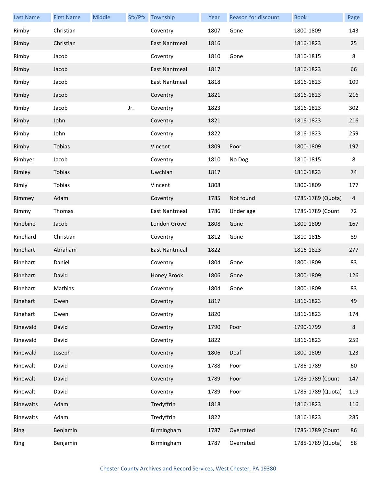| <b>Last Name</b> | <b>First Name</b> | Middle |     | Sfx/Pfx Township | Year | Reason for discount | <b>Book</b>       | Page    |
|------------------|-------------------|--------|-----|------------------|------|---------------------|-------------------|---------|
| Rimby            | Christian         |        |     | Coventry         | 1807 | Gone                | 1800-1809         | 143     |
| Rimby            | Christian         |        |     | East Nantmeal    | 1816 |                     | 1816-1823         | 25      |
| Rimby            | Jacob             |        |     | Coventry         | 1810 | Gone                | 1810-1815         | $\,8\,$ |
| Rimby            | Jacob             |        |     | East Nantmeal    | 1817 |                     | 1816-1823         | 66      |
| Rimby            | Jacob             |        |     | East Nantmeal    | 1818 |                     | 1816-1823         | 109     |
| Rimby            | Jacob             |        |     | Coventry         | 1821 |                     | 1816-1823         | 216     |
| Rimby            | Jacob             |        | Jr. | Coventry         | 1823 |                     | 1816-1823         | 302     |
| Rimby            | John              |        |     | Coventry         | 1821 |                     | 1816-1823         | 216     |
| Rimby            | John              |        |     | Coventry         | 1822 |                     | 1816-1823         | 259     |
| Rimby            | Tobias            |        |     | Vincent          | 1809 | Poor                | 1800-1809         | 197     |
| Rimbyer          | Jacob             |        |     | Coventry         | 1810 | No Dog              | 1810-1815         | 8       |
| Rimley           | Tobias            |        |     | Uwchlan          | 1817 |                     | 1816-1823         | 74      |
| Rimly            | Tobias            |        |     | Vincent          | 1808 |                     | 1800-1809         | 177     |
| Rimmey           | Adam              |        |     | Coventry         | 1785 | Not found           | 1785-1789 (Quota) | 4       |
| Rimmy            | Thomas            |        |     | East Nantmeal    | 1786 | Under age           | 1785-1789 (Count  | 72      |
| Rinebine         | Jacob             |        |     | London Grove     | 1808 | Gone                | 1800-1809         | 167     |
| Rinehard         | Christian         |        |     | Coventry         | 1812 | Gone                | 1810-1815         | 89      |
| Rinehart         | Abraham           |        |     | East Nantmeal    | 1822 |                     | 1816-1823         | 277     |
| Rinehart         | Daniel            |        |     | Coventry         | 1804 | Gone                | 1800-1809         | 83      |
| Rinehart         | David             |        |     | Honey Brook      | 1806 | Gone                | 1800-1809         | 126     |
| Rinehart         | Mathias           |        |     | Coventry         | 1804 | Gone                | 1800-1809         | 83      |
| Rinehart         | Owen              |        |     | Coventry         | 1817 |                     | 1816-1823         | 49      |
| Rinehart         | Owen              |        |     | Coventry         | 1820 |                     | 1816-1823         | 174     |
| Rinewald         | David             |        |     | Coventry         | 1790 | Poor                | 1790-1799         | $\bf 8$ |
| Rinewald         | David             |        |     | Coventry         | 1822 |                     | 1816-1823         | 259     |
| Rinewald         | Joseph            |        |     | Coventry         | 1806 | Deaf                | 1800-1809         | 123     |
| Rinewalt         | David             |        |     | Coventry         | 1788 | Poor                | 1786-1789         | 60      |
| Rinewalt         | David             |        |     | Coventry         | 1789 | Poor                | 1785-1789 (Count  | 147     |
| Rinewalt         | David             |        |     | Coventry         | 1789 | Poor                | 1785-1789 (Quota) | 119     |
| Rinewalts        | Adam              |        |     | Tredyffrin       | 1818 |                     | 1816-1823         | 116     |
| Rinewalts        | Adam              |        |     | Tredyffrin       | 1822 |                     | 1816-1823         | 285     |
| Ring             | Benjamin          |        |     | Birmingham       | 1787 | Overrated           | 1785-1789 (Count  | 86      |
| Ring             | Benjamin          |        |     | Birmingham       | 1787 | Overrated           | 1785-1789 (Quota) | 58      |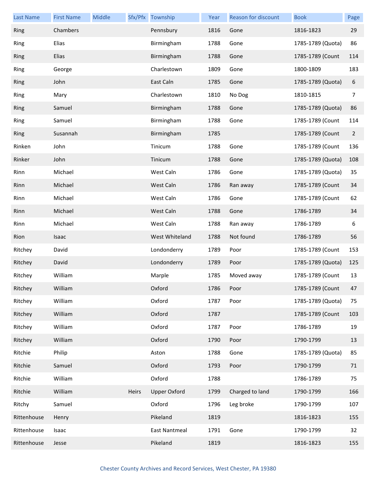| <b>Last Name</b> | <b>First Name</b> | Middle |       | Sfx/Pfx Township     | Year | Reason for discount | <b>Book</b>       | Page           |
|------------------|-------------------|--------|-------|----------------------|------|---------------------|-------------------|----------------|
| Ring             | Chambers          |        |       | Pennsbury            | 1816 | Gone                | 1816-1823         | 29             |
| Ring             | Elias             |        |       | Birmingham           | 1788 | Gone                | 1785-1789 (Quota) | 86             |
| Ring             | Elias             |        |       | Birmingham           | 1788 | Gone                | 1785-1789 (Count  | 114            |
| Ring             | George            |        |       | Charlestown          | 1809 | Gone                | 1800-1809         | 183            |
| Ring             | John              |        |       | East Caln            | 1785 | Gone                | 1785-1789 (Quota) | 6              |
| Ring             | Mary              |        |       | Charlestown          | 1810 | No Dog              | 1810-1815         | 7              |
| Ring             | Samuel            |        |       | Birmingham           | 1788 | Gone                | 1785-1789 (Quota) | 86             |
| Ring             | Samuel            |        |       | Birmingham           | 1788 | Gone                | 1785-1789 (Count  | 114            |
| Ring             | Susannah          |        |       | Birmingham           | 1785 |                     | 1785-1789 (Count  | $\overline{2}$ |
| Rinken           | John              |        |       | Tinicum              | 1788 | Gone                | 1785-1789 (Count  | 136            |
| Rinker           | John              |        |       | Tinicum              | 1788 | Gone                | 1785-1789 (Quota) | 108            |
| Rinn             | Michael           |        |       | West Caln            | 1786 | Gone                | 1785-1789 (Quota) | 35             |
| Rinn             | Michael           |        |       | West Caln            | 1786 | Ran away            | 1785-1789 (Count  | 34             |
| Rinn             | Michael           |        |       | West Caln            | 1786 | Gone                | 1785-1789 (Count  | 62             |
| Rinn             | Michael           |        |       | West Caln            | 1788 | Gone                | 1786-1789         | 34             |
| Rinn             | Michael           |        |       | West Caln            | 1788 | Ran away            | 1786-1789         | 6              |
| Rion             | Isaac             |        |       | West Whiteland       | 1788 | Not found           | 1786-1789         | 56             |
| Ritchey          | David             |        |       | Londonderry          | 1789 | Poor                | 1785-1789 (Count  | 153            |
| Ritchey          | David             |        |       | Londonderry          | 1789 | Poor                | 1785-1789 (Quota) | 125            |
| Ritchey          | William           |        |       | Marple               | 1785 | Moved away          | 1785-1789 (Count  | 13             |
| Ritchey          | William           |        |       | Oxford               | 1786 | Poor                | 1785-1789 (Count  | 47             |
| Ritchey          | William           |        |       | Oxford               | 1787 | Poor                | 1785-1789 (Quota) | 75             |
| Ritchey          | William           |        |       | Oxford               | 1787 |                     | 1785-1789 (Count  | 103            |
| Ritchey          | William           |        |       | Oxford               | 1787 | Poor                | 1786-1789         | 19             |
| Ritchey          | William           |        |       | Oxford               | 1790 | Poor                | 1790-1799         | 13             |
| Ritchie          | Philip            |        |       | Aston                | 1788 | Gone                | 1785-1789 (Quota) | 85             |
| Ritchie          | Samuel            |        |       | Oxford               | 1793 | Poor                | 1790-1799         | 71             |
| Ritchie          | William           |        |       | Oxford               | 1788 |                     | 1786-1789         | 75             |
| Ritchie          | William           |        | Heirs | <b>Upper Oxford</b>  | 1799 | Charged to land     | 1790-1799         | 166            |
| Ritchy           | Samuel            |        |       | Oxford               | 1796 | Leg broke           | 1790-1799         | 107            |
| Rittenhouse      | Henry             |        |       | Pikeland             | 1819 |                     | 1816-1823         | 155            |
| Rittenhouse      | Isaac             |        |       | <b>East Nantmeal</b> | 1791 | Gone                | 1790-1799         | 32             |
| Rittenhouse      | Jesse             |        |       | Pikeland             | 1819 |                     | 1816-1823         | 155            |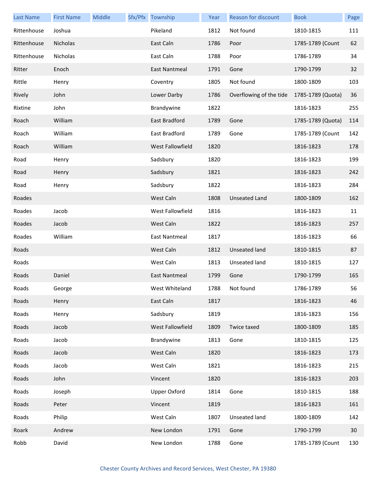| <b>Last Name</b> | <b>First Name</b> | Middle | Sfx/Pfx Township     | Year | Reason for discount     | <b>Book</b>       | Page |
|------------------|-------------------|--------|----------------------|------|-------------------------|-------------------|------|
| Rittenhouse      | Joshua            |        | Pikeland             | 1812 | Not found               | 1810-1815         | 111  |
| Rittenhouse      | Nicholas          |        | East Caln            | 1786 | Poor                    | 1785-1789 (Count  | 62   |
| Rittenhouse      | Nicholas          |        | East Caln            | 1788 | Poor                    | 1786-1789         | 34   |
| Ritter           | Enoch             |        | East Nantmeal        | 1791 | Gone                    | 1790-1799         | 32   |
| Rittle           | Henry             |        | Coventry             | 1805 | Not found               | 1800-1809         | 103  |
| Rively           | John              |        | Lower Darby          | 1786 | Overflowing of the tide | 1785-1789 (Quota) | 36   |
| Rixtine          | John              |        | Brandywine           | 1822 |                         | 1816-1823         | 255  |
| Roach            | William           |        | East Bradford        | 1789 | Gone                    | 1785-1789 (Quota) | 114  |
| Roach            | William           |        | East Bradford        | 1789 | Gone                    | 1785-1789 (Count  | 142  |
| Roach            | William           |        | West Fallowfield     | 1820 |                         | 1816-1823         | 178  |
| Road             | Henry             |        | Sadsbury             | 1820 |                         | 1816-1823         | 199  |
| Road             | Henry             |        | Sadsbury             | 1821 |                         | 1816-1823         | 242  |
| Road             | Henry             |        | Sadsbury             | 1822 |                         | 1816-1823         | 284  |
| Roades           |                   |        | West Caln            | 1808 | <b>Unseated Land</b>    | 1800-1809         | 162  |
| Roades           | Jacob             |        | West Fallowfield     | 1816 |                         | 1816-1823         | 11   |
| Roades           | Jacob             |        | West Caln            | 1822 |                         | 1816-1823         | 257  |
| Roades           | William           |        | East Nantmeal        | 1817 |                         | 1816-1823         | 66   |
| Roads            |                   |        | West Caln            | 1812 | <b>Unseated land</b>    | 1810-1815         | 87   |
| Roads            |                   |        | West Caln            | 1813 | Unseated land           | 1810-1815         | 127  |
| Roads            | Daniel            |        | <b>East Nantmeal</b> | 1799 | Gone                    | 1790-1799         | 165  |
| Roads            | George            |        | West Whiteland       | 1788 | Not found               | 1786-1789         | 56   |
| Roads            | Henry             |        | East Caln            | 1817 |                         | 1816-1823         | 46   |
| Roads            | Henry             |        | Sadsbury             | 1819 |                         | 1816-1823         | 156  |
| Roads            | Jacob             |        | West Fallowfield     | 1809 | Twice taxed             | 1800-1809         | 185  |
| Roads            | Jacob             |        | Brandywine           | 1813 | Gone                    | 1810-1815         | 125  |
| Roads            | Jacob             |        | West Caln            | 1820 |                         | 1816-1823         | 173  |
| Roads            | Jacob             |        | West Caln            | 1821 |                         | 1816-1823         | 215  |
| Roads            | John              |        | Vincent              | 1820 |                         | 1816-1823         | 203  |
| Roads            | Joseph            |        | <b>Upper Oxford</b>  | 1814 | Gone                    | 1810-1815         | 188  |
| Roads            | Peter             |        | Vincent              | 1819 |                         | 1816-1823         | 161  |
| Roads            | Philip            |        | West Caln            | 1807 | Unseated land           | 1800-1809         | 142  |
| Roark            | Andrew            |        | New London           | 1791 | Gone                    | 1790-1799         | 30   |
| Robb             | David             |        | New London           | 1788 | Gone                    | 1785-1789 (Count  | 130  |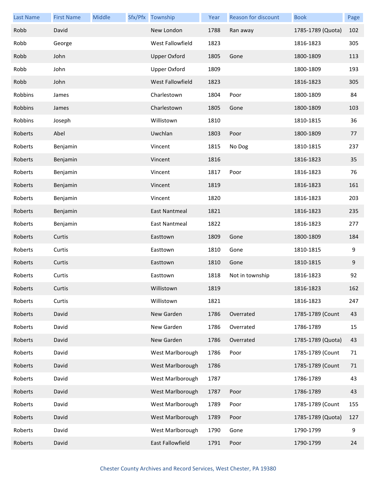| <b>Last Name</b> | <b>First Name</b> | Middle | Sfx/Pfx Township    | Year | Reason for discount | <b>Book</b>       | Page |
|------------------|-------------------|--------|---------------------|------|---------------------|-------------------|------|
| Robb             | David             |        | New London          | 1788 | Ran away            | 1785-1789 (Quota) | 102  |
| Robb             | George            |        | West Fallowfield    | 1823 |                     | 1816-1823         | 305  |
| Robb             | John              |        | <b>Upper Oxford</b> | 1805 | Gone                | 1800-1809         | 113  |
| Robb             | John              |        | <b>Upper Oxford</b> | 1809 |                     | 1800-1809         | 193  |
| Robb             | John              |        | West Fallowfield    | 1823 |                     | 1816-1823         | 305  |
| Robbins          | James             |        | Charlestown         | 1804 | Poor                | 1800-1809         | 84   |
| Robbins          | James             |        | Charlestown         | 1805 | Gone                | 1800-1809         | 103  |
| Robbins          | Joseph            |        | Willistown          | 1810 |                     | 1810-1815         | 36   |
| Roberts          | Abel              |        | Uwchlan             | 1803 | Poor                | 1800-1809         | 77   |
| Roberts          | Benjamin          |        | Vincent             | 1815 | No Dog              | 1810-1815         | 237  |
| Roberts          | Benjamin          |        | Vincent             | 1816 |                     | 1816-1823         | 35   |
| Roberts          | Benjamin          |        | Vincent             | 1817 | Poor                | 1816-1823         | 76   |
| Roberts          | Benjamin          |        | Vincent             | 1819 |                     | 1816-1823         | 161  |
| Roberts          | Benjamin          |        | Vincent             | 1820 |                     | 1816-1823         | 203  |
| Roberts          | Benjamin          |        | East Nantmeal       | 1821 |                     | 1816-1823         | 235  |
| Roberts          | Benjamin          |        | East Nantmeal       | 1822 |                     | 1816-1823         | 277  |
| Roberts          | Curtis            |        | Easttown            | 1809 | Gone                | 1800-1809         | 184  |
| Roberts          | Curtis            |        | Easttown            | 1810 | Gone                | 1810-1815         | 9    |
| Roberts          | Curtis            |        | Easttown            | 1810 | Gone                | 1810-1815         | 9    |
| Roberts          | Curtis            |        | Easttown            | 1818 | Not in township     | 1816-1823         | 92   |
| Roberts          | Curtis            |        | Willistown          | 1819 |                     | 1816-1823         | 162  |
| Roberts          | Curtis            |        | Willistown          | 1821 |                     | 1816-1823         | 247  |
| Roberts          | David             |        | New Garden          | 1786 | Overrated           | 1785-1789 (Count  | 43   |
| Roberts          | David             |        | New Garden          | 1786 | Overrated           | 1786-1789         | 15   |
| Roberts          | David             |        | New Garden          | 1786 | Overrated           | 1785-1789 (Quota) | 43   |
| Roberts          | David             |        | West Marlborough    | 1786 | Poor                | 1785-1789 (Count  | 71   |
| Roberts          | David             |        | West Marlborough    | 1786 |                     | 1785-1789 (Count  | 71   |
| Roberts          | David             |        | West Marlborough    | 1787 |                     | 1786-1789         | 43   |
| Roberts          | David             |        | West Marlborough    | 1787 | Poor                | 1786-1789         | 43   |
| Roberts          | David             |        | West Marlborough    | 1789 | Poor                | 1785-1789 (Count  | 155  |
| Roberts          | David             |        | West Marlborough    | 1789 | Poor                | 1785-1789 (Quota) | 127  |
| Roberts          | David             |        | West Marlborough    | 1790 | Gone                | 1790-1799         | 9    |
| Roberts          | David             |        | East Fallowfield    | 1791 | Poor                | 1790-1799         | 24   |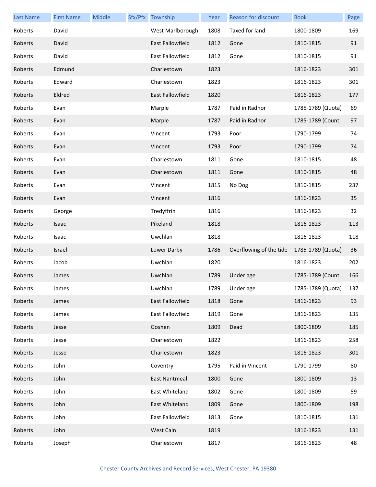| <b>Last Name</b> | <b>First Name</b> | Middle | Sfx/Pfx Township        | Year | Reason for discount     | <b>Book</b>           | Page |
|------------------|-------------------|--------|-------------------------|------|-------------------------|-----------------------|------|
| Roberts          | David             |        | West Marlborough        | 1808 | Taxed for land          | 1800-1809             | 169  |
| Roberts          | David             |        | <b>East Fallowfield</b> | 1812 | Gone                    | 1810-1815             | 91   |
| Roberts          | David             |        | <b>East Fallowfield</b> | 1812 | Gone                    | 1810-1815             | 91   |
| Roberts          | Edmund            |        | Charlestown             | 1823 |                         | 1816-1823             | 301  |
| Roberts          | Edward            |        | Charlestown             | 1823 |                         | 1816-1823             | 301  |
| Roberts          | Eldred            |        | <b>East Fallowfield</b> | 1820 |                         | 1816-1823             | 177  |
| Roberts          | Evan              |        | Marple                  | 1787 | Paid in Radnor          | 1785-1789 (Quota)     | 69   |
| Roberts          | Evan              |        | Marple                  | 1787 | Paid in Radnor          | 1785-1789 (Count      | 97   |
| Roberts          | Evan              |        | Vincent                 | 1793 | Poor                    | 1790-1799             | 74   |
| Roberts          | Evan              |        | Vincent                 | 1793 | Poor                    | 1790-1799             | 74   |
| Roberts          | Evan              |        | Charlestown             | 1811 | Gone                    | 1810-1815             | 48   |
| Roberts          | Evan              |        | Charlestown             | 1811 | Gone                    | 1810-1815             | 48   |
| Roberts          | Evan              |        | Vincent                 | 1815 | No Dog                  | 1810-1815             | 237  |
| Roberts          | Evan              |        | Vincent                 | 1816 |                         | 1816-1823             | 35   |
| Roberts          | George            |        | Tredyffrin              | 1816 |                         | 1816-1823             | 32   |
| Roberts          | Isaac             |        | Pikeland                | 1818 |                         | 1816-1823             | 113  |
| Roberts          | Isaac             |        | Uwchlan                 | 1818 |                         | 1816-1823             | 118  |
| Roberts          | Israel            |        | Lower Darby             | 1786 | Overflowing of the tide | 1785-1789 (Quota)     | 36   |
| Roberts          | Jacob             |        | Uwchlan                 | 1820 |                         | 1816-1823             | 202  |
| Roberts          | James             |        | Uwchlan                 | 1789 | Under age               | 1785-1789 (Count      | 166  |
| Roberts          | James             |        | Uwchlan                 |      | 1789 Under age          | 1785-1789 (Quota) 137 |      |
| Roberts          | James             |        | East Fallowfield        | 1818 | Gone                    | 1816-1823             | 93   |
| Roberts          | James             |        | East Fallowfield        | 1819 | Gone                    | 1816-1823             | 135  |
| Roberts          | Jesse             |        | Goshen                  | 1809 | Dead                    | 1800-1809             | 185  |
| Roberts          | Jesse             |        | Charlestown             | 1822 |                         | 1816-1823             | 258  |
| Roberts          | Jesse             |        | Charlestown             | 1823 |                         | 1816-1823             | 301  |
| Roberts          | John              |        | Coventry                | 1795 | Paid in Vincent         | 1790-1799             | 80   |
| Roberts          | John              |        | East Nantmeal           | 1800 | Gone                    | 1800-1809             | 13   |
| Roberts          | John              |        | East Whiteland          | 1802 | Gone                    | 1800-1809             | 59   |
| Roberts          | John              |        | East Whiteland          | 1809 | Gone                    | 1800-1809             | 198  |
| Roberts          | John              |        | East Fallowfield        | 1813 | Gone                    | 1810-1815             | 131  |
| Roberts          | John              |        | West Caln               | 1819 |                         | 1816-1823             | 131  |
| Roberts          | Joseph            |        | Charlestown             | 1817 |                         | 1816-1823             | 48   |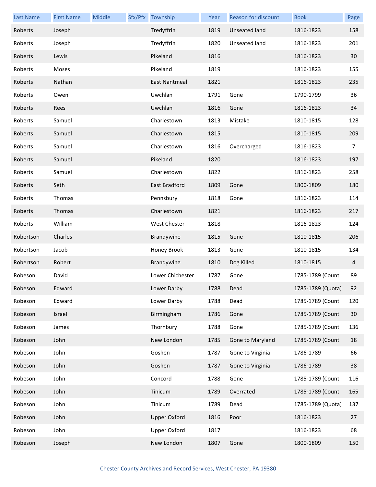| <b>Last Name</b> | <b>First Name</b> | Middle | Sfx/Pfx Township    | Year | Reason for discount  | <b>Book</b>       | Page           |
|------------------|-------------------|--------|---------------------|------|----------------------|-------------------|----------------|
| Roberts          | Joseph            |        | Tredyffrin          | 1819 | <b>Unseated land</b> | 1816-1823         | 158            |
| Roberts          | Joseph            |        | Tredyffrin          | 1820 | Unseated land        | 1816-1823         | 201            |
| Roberts          | Lewis             |        | Pikeland            | 1816 |                      | 1816-1823         | 30             |
| Roberts          | Moses             |        | Pikeland            | 1819 |                      | 1816-1823         | 155            |
| Roberts          | Nathan            |        | East Nantmeal       | 1821 |                      | 1816-1823         | 235            |
| Roberts          | Owen              |        | Uwchlan             | 1791 | Gone                 | 1790-1799         | 36             |
| Roberts          | Rees              |        | Uwchlan             | 1816 | Gone                 | 1816-1823         | 34             |
| Roberts          | Samuel            |        | Charlestown         | 1813 | Mistake              | 1810-1815         | 128            |
| Roberts          | Samuel            |        | Charlestown         | 1815 |                      | 1810-1815         | 209            |
| Roberts          | Samuel            |        | Charlestown         | 1816 | Overcharged          | 1816-1823         | $\overline{7}$ |
| Roberts          | Samuel            |        | Pikeland            | 1820 |                      | 1816-1823         | 197            |
| Roberts          | Samuel            |        | Charlestown         | 1822 |                      | 1816-1823         | 258            |
| Roberts          | Seth              |        | East Bradford       | 1809 | Gone                 | 1800-1809         | 180            |
| Roberts          | Thomas            |        | Pennsbury           | 1818 | Gone                 | 1816-1823         | 114            |
| Roberts          | Thomas            |        | Charlestown         | 1821 |                      | 1816-1823         | 217            |
| Roberts          | William           |        | <b>West Chester</b> | 1818 |                      | 1816-1823         | 124            |
| Robertson        | Charles           |        | Brandywine          | 1815 | Gone                 | 1810-1815         | 206            |
| Robertson        | Jacob             |        | Honey Brook         | 1813 | Gone                 | 1810-1815         | 134            |
| Robertson        | Robert            |        | Brandywine          | 1810 | Dog Killed           | 1810-1815         | 4              |
| Robeson          | David             |        | Lower Chichester    | 1787 | Gone                 | 1785-1789 (Count  | 89             |
| Robeson          | Edward            |        | Lower Darby         | 1788 | Dead                 | 1785-1789 (Quota) | 92             |
| Robeson          | Edward            |        | Lower Darby         | 1788 | Dead                 | 1785-1789 (Count  | 120            |
| Robeson          | Israel            |        | Birmingham          | 1786 | Gone                 | 1785-1789 (Count  | $30\,$         |
| Robeson          | James             |        | Thornbury           | 1788 | Gone                 | 1785-1789 (Count  | 136            |
| Robeson          | John              |        | New London          | 1785 | Gone to Maryland     | 1785-1789 (Count  | 18             |
| Robeson          | John              |        | Goshen              | 1787 | Gone to Virginia     | 1786-1789         | 66             |
| Robeson          | John              |        | Goshen              | 1787 | Gone to Virginia     | 1786-1789         | 38             |
| Robeson          | John              |        | Concord             | 1788 | Gone                 | 1785-1789 (Count  | 116            |
| Robeson          | John              |        | Tinicum             | 1789 | Overrated            | 1785-1789 (Count  | 165            |
| Robeson          | John              |        | Tinicum             | 1789 | Dead                 | 1785-1789 (Quota) | 137            |
| Robeson          | John              |        | <b>Upper Oxford</b> | 1816 | Poor                 | 1816-1823         | 27             |
| Robeson          | John              |        | <b>Upper Oxford</b> | 1817 |                      | 1816-1823         | 68             |
| Robeson          | Joseph            |        | New London          | 1807 | Gone                 | 1800-1809         | 150            |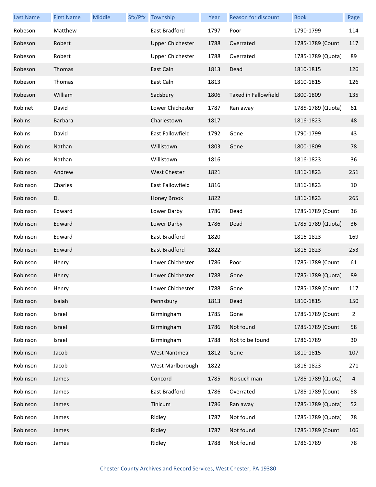| <b>Last Name</b> | <b>First Name</b> | Middle | Sfx/Pfx Township        | Year | <b>Reason for discount</b>  | <b>Book</b>       | Page           |
|------------------|-------------------|--------|-------------------------|------|-----------------------------|-------------------|----------------|
| Robeson          | Matthew           |        | East Bradford           | 1797 | Poor                        | 1790-1799         | 114            |
| Robeson          | Robert            |        | <b>Upper Chichester</b> | 1788 | Overrated                   | 1785-1789 (Count  | 117            |
| Robeson          | Robert            |        | <b>Upper Chichester</b> | 1788 | Overrated                   | 1785-1789 (Quota) | 89             |
| Robeson          | Thomas            |        | East Caln               | 1813 | Dead                        | 1810-1815         | 126            |
| Robeson          | Thomas            |        | East Caln               | 1813 |                             | 1810-1815         | 126            |
| Robeson          | William           |        | Sadsbury                | 1806 | <b>Taxed in Fallowfield</b> | 1800-1809         | 135            |
| Robinet          | David             |        | Lower Chichester        | 1787 | Ran away                    | 1785-1789 (Quota) | 61             |
| Robins           | Barbara           |        | Charlestown             | 1817 |                             | 1816-1823         | 48             |
| Robins           | David             |        | East Fallowfield        | 1792 | Gone                        | 1790-1799         | 43             |
| Robins           | Nathan            |        | Willistown              | 1803 | Gone                        | 1800-1809         | 78             |
| Robins           | Nathan            |        | Willistown              | 1816 |                             | 1816-1823         | 36             |
| Robinson         | Andrew            |        | <b>West Chester</b>     | 1821 |                             | 1816-1823         | 251            |
| Robinson         | Charles           |        | East Fallowfield        | 1816 |                             | 1816-1823         | 10             |
| Robinson         | D.                |        | Honey Brook             | 1822 |                             | 1816-1823         | 265            |
| Robinson         | Edward            |        | Lower Darby             | 1786 | Dead                        | 1785-1789 (Count  | 36             |
| Robinson         | Edward            |        | Lower Darby             | 1786 | Dead                        | 1785-1789 (Quota) | 36             |
| Robinson         | Edward            |        | East Bradford           | 1820 |                             | 1816-1823         | 169            |
| Robinson         | Edward            |        | East Bradford           | 1822 |                             | 1816-1823         | 253            |
| Robinson         | Henry             |        | Lower Chichester        | 1786 | Poor                        | 1785-1789 (Count  | 61             |
| Robinson         | Henry             |        | Lower Chichester        | 1788 | Gone                        | 1785-1789 (Quota) | 89             |
| Robinson         | Henry             |        | Lower Chichester        | 1788 | Gone                        | 1785-1789 (Count  | 117            |
| Robinson         | Isaiah            |        | Pennsbury               | 1813 | Dead                        | 1810-1815         | 150            |
| Robinson         | Israel            |        | Birmingham              | 1785 | Gone                        | 1785-1789 (Count  | $\overline{2}$ |
| Robinson         | Israel            |        | Birmingham              | 1786 | Not found                   | 1785-1789 (Count  | 58             |
| Robinson         | Israel            |        | Birmingham              | 1788 | Not to be found             | 1786-1789         | 30             |
| Robinson         | Jacob             |        | <b>West Nantmeal</b>    | 1812 | Gone                        | 1810-1815         | 107            |
| Robinson         | Jacob             |        | West Marlborough        | 1822 |                             | 1816-1823         | 271            |
| Robinson         | James             |        | Concord                 | 1785 | No such man                 | 1785-1789 (Quota) | 4              |
| Robinson         | James             |        | East Bradford           | 1786 | Overrated                   | 1785-1789 (Count  | 58             |
| Robinson         | James             |        | Tinicum                 | 1786 | Ran away                    | 1785-1789 (Quota) | 52             |
| Robinson         | James             |        | Ridley                  | 1787 | Not found                   | 1785-1789 (Quota) | 78             |
| Robinson         | James             |        | Ridley                  | 1787 | Not found                   | 1785-1789 (Count  | 106            |
| Robinson         | James             |        | Ridley                  | 1788 | Not found                   | 1786-1789         | 78             |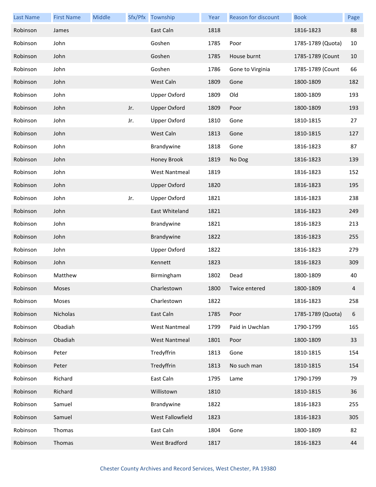| <b>Last Name</b> | <b>First Name</b> | Middle |     | Sfx/Pfx Township     | Year | Reason for discount | <b>Book</b>       | Page |
|------------------|-------------------|--------|-----|----------------------|------|---------------------|-------------------|------|
| Robinson         | James             |        |     | East Caln            | 1818 |                     | 1816-1823         | 88   |
| Robinson         | John              |        |     | Goshen               | 1785 | Poor                | 1785-1789 (Quota) | 10   |
| Robinson         | John              |        |     | Goshen               | 1785 | House burnt         | 1785-1789 (Count  | 10   |
| Robinson         | John              |        |     | Goshen               | 1786 | Gone to Virginia    | 1785-1789 (Count  | 66   |
| Robinson         | John              |        |     | West Caln            | 1809 | Gone                | 1800-1809         | 182  |
| Robinson         | John              |        |     | <b>Upper Oxford</b>  | 1809 | Old                 | 1800-1809         | 193  |
| Robinson         | John              |        | Jr. | <b>Upper Oxford</b>  | 1809 | Poor                | 1800-1809         | 193  |
| Robinson         | John              |        | Jr. | <b>Upper Oxford</b>  | 1810 | Gone                | 1810-1815         | 27   |
| Robinson         | John              |        |     | West Caln            | 1813 | Gone                | 1810-1815         | 127  |
| Robinson         | John              |        |     | Brandywine           | 1818 | Gone                | 1816-1823         | 87   |
| Robinson         | John              |        |     | Honey Brook          | 1819 | No Dog              | 1816-1823         | 139  |
| Robinson         | John              |        |     | <b>West Nantmeal</b> | 1819 |                     | 1816-1823         | 152  |
| Robinson         | John              |        |     | <b>Upper Oxford</b>  | 1820 |                     | 1816-1823         | 195  |
| Robinson         | John              |        | Jr. | <b>Upper Oxford</b>  | 1821 |                     | 1816-1823         | 238  |
| Robinson         | John              |        |     | East Whiteland       | 1821 |                     | 1816-1823         | 249  |
| Robinson         | John              |        |     | Brandywine           | 1821 |                     | 1816-1823         | 213  |
| Robinson         | John              |        |     | Brandywine           | 1822 |                     | 1816-1823         | 255  |
| Robinson         | John              |        |     | <b>Upper Oxford</b>  | 1822 |                     | 1816-1823         | 279  |
| Robinson         | John              |        |     | Kennett              | 1823 |                     | 1816-1823         | 309  |
| Robinson         | Matthew           |        |     | Birmingham           | 1802 | Dead                | 1800-1809         | 40   |
| Robinson         | Moses             |        |     | Charlestown          | 1800 | Twice entered       | 1800-1809         |      |
| Robinson         | Moses             |        |     | Charlestown          | 1822 |                     | 1816-1823         | 258  |
| Robinson         | Nicholas          |        |     | East Caln            | 1785 | Poor                | 1785-1789 (Quota) | 6    |
| Robinson         | Obadiah           |        |     | <b>West Nantmeal</b> | 1799 | Paid in Uwchlan     | 1790-1799         | 165  |
| Robinson         | Obadiah           |        |     | <b>West Nantmeal</b> | 1801 | Poor                | 1800-1809         | 33   |
| Robinson         | Peter             |        |     | Tredyffrin           | 1813 | Gone                | 1810-1815         | 154  |
| Robinson         | Peter             |        |     | Tredyffrin           | 1813 | No such man         | 1810-1815         | 154  |
| Robinson         | Richard           |        |     | East Caln            | 1795 | Lame                | 1790-1799         | 79   |
| Robinson         | Richard           |        |     | Willistown           | 1810 |                     | 1810-1815         | 36   |
| Robinson         | Samuel            |        |     | Brandywine           | 1822 |                     | 1816-1823         | 255  |
| Robinson         | Samuel            |        |     | West Fallowfield     | 1823 |                     | 1816-1823         | 305  |
| Robinson         | Thomas            |        |     | East Caln            | 1804 | Gone                | 1800-1809         | 82   |
| Robinson         | Thomas            |        |     | West Bradford        | 1817 |                     | 1816-1823         | 44   |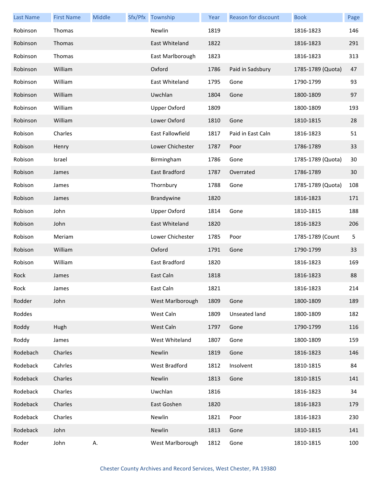| <b>Last Name</b> | <b>First Name</b> | Middle | Sfx/Pfx Township    | Year | Reason for discount | <b>Book</b>       | Page |
|------------------|-------------------|--------|---------------------|------|---------------------|-------------------|------|
| Robinson         | Thomas            |        | Newlin              | 1819 |                     | 1816-1823         | 146  |
| Robinson         | Thomas            |        | East Whiteland      | 1822 |                     | 1816-1823         | 291  |
| Robinson         | Thomas            |        | East Marlborough    | 1823 |                     | 1816-1823         | 313  |
| Robinson         | William           |        | Oxford              | 1786 | Paid in Sadsbury    | 1785-1789 (Quota) | 47   |
| Robinson         | William           |        | East Whiteland      | 1795 | Gone                | 1790-1799         | 93   |
| Robinson         | William           |        | Uwchlan             | 1804 | Gone                | 1800-1809         | 97   |
| Robinson         | William           |        | <b>Upper Oxford</b> | 1809 |                     | 1800-1809         | 193  |
| Robinson         | William           |        | Lower Oxford        | 1810 | Gone                | 1810-1815         | 28   |
| Robison          | Charles           |        | East Fallowfield    | 1817 | Paid in East Caln   | 1816-1823         | 51   |
| Robison          | Henry             |        | Lower Chichester    | 1787 | Poor                | 1786-1789         | 33   |
| Robison          | Israel            |        | Birmingham          | 1786 | Gone                | 1785-1789 (Quota) | 30   |
| Robison          | James             |        | East Bradford       | 1787 | Overrated           | 1786-1789         | 30   |
| Robison          | James             |        | Thornbury           | 1788 | Gone                | 1785-1789 (Quota) | 108  |
| Robison          | James             |        | Brandywine          | 1820 |                     | 1816-1823         | 171  |
| Robison          | John              |        | <b>Upper Oxford</b> | 1814 | Gone                | 1810-1815         | 188  |
| Robison          | John              |        | East Whiteland      | 1820 |                     | 1816-1823         | 206  |
| Robison          | Meriam            |        | Lower Chichester    | 1785 | Poor                | 1785-1789 (Count  | 5    |
| Robison          | William           |        | Oxford              | 1791 | Gone                | 1790-1799         | 33   |
| Robison          | William           |        | East Bradford       | 1820 |                     | 1816-1823         | 169  |
| Rock             | James             |        | East Caln           | 1818 |                     | 1816-1823         | 88   |
| Rock             | James             |        | East Caln           | 1821 |                     | 1816-1823         | 214  |
| Rodder           | John              |        | West Marlborough    | 1809 | Gone                | 1800-1809         | 189  |
| Roddes           |                   |        | West Caln           | 1809 | Unseated land       | 1800-1809         | 182  |
| Roddy            | Hugh              |        | West Caln           | 1797 | Gone                | 1790-1799         | 116  |
| Roddy            | James             |        | West Whiteland      | 1807 | Gone                | 1800-1809         | 159  |
| Rodebach         | Charles           |        | Newlin              | 1819 | Gone                | 1816-1823         | 146  |
| Rodeback         | Cahrles           |        | West Bradford       | 1812 | Insolvent           | 1810-1815         | 84   |
| Rodeback         | Charles           |        | Newlin              | 1813 | Gone                | 1810-1815         | 141  |
| Rodeback         | Charles           |        | Uwchlan             | 1816 |                     | 1816-1823         | 34   |
| Rodeback         | Charles           |        | East Goshen         | 1820 |                     | 1816-1823         | 179  |
| Rodeback         | Charles           |        | Newlin              | 1821 | Poor                | 1816-1823         | 230  |
| Rodeback         | John              |        | Newlin              | 1813 | Gone                | 1810-1815         | 141  |
| Roder            | John              | А.     | West Marlborough    | 1812 | Gone                | 1810-1815         | 100  |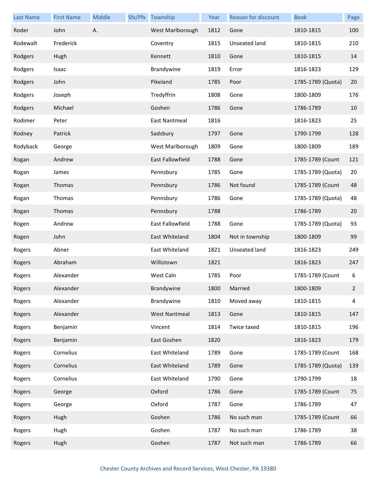| <b>Last Name</b> | <b>First Name</b> | <b>Middle</b> | Sfx/Pfx Township        | Year | Reason for discount | <b>Book</b>       | Page         |
|------------------|-------------------|---------------|-------------------------|------|---------------------|-------------------|--------------|
| Roder            | John              | А.            | West Marlborough        | 1812 | Gone                | 1810-1815         | 100          |
| Rodewalt         | Frederick         |               | Coventry                | 1815 | Unseated land       | 1810-1815         | 210          |
| Rodgers          | Hugh              |               | Kennett                 | 1810 | Gone                | 1810-1815         | 14           |
| Rodgers          | Isaac             |               | Brandywine              | 1819 | Error               | 1816-1823         | 129          |
| Rodgers          | John              |               | Pikeland                | 1785 | Poor                | 1785-1789 (Quota) | 20           |
| Rodgers          | Joseph            |               | Tredyffrin              | 1808 | Gone                | 1800-1809         | 176          |
| Rodgers          | Michael           |               | Goshen                  | 1786 | Gone                | 1786-1789         | 10           |
| Rodimer          | Peter             |               | East Nantmeal           | 1816 |                     | 1816-1823         | 25           |
| Rodney           | Patrick           |               | Sadsbury                | 1797 | Gone                | 1790-1799         | 128          |
| Rodyback         | George            |               | West Marlborough        | 1809 | Gone                | 1800-1809         | 189          |
| Rogan            | Andrew            |               | <b>East Fallowfield</b> | 1788 | Gone                | 1785-1789 (Count  | 121          |
| Rogan            | James             |               | Pennsbury               | 1785 | Gone                | 1785-1789 (Quota) | 20           |
| Rogan            | Thomas            |               | Pennsbury               | 1786 | Not found           | 1785-1789 (Count  | 48           |
| Rogan            | Thomas            |               | Pennsbury               | 1786 | Gone                | 1785-1789 (Quota) | 48           |
| Rogan            | Thomas            |               | Pennsbury               | 1788 |                     | 1786-1789         | 20           |
| Rogen            | Andrew            |               | East Fallowfield        | 1788 | Gone                | 1785-1789 (Quota) | 93           |
| Rogen            | John              |               | East Whiteland          | 1804 | Not in township     | 1800-1809         | 99           |
| Rogers           | Abner             |               | East Whiteland          | 1821 | Unseated land       | 1816-1823         | 249          |
| Rogers           | Abraham           |               | Willistown              | 1821 |                     | 1816-1823         | 247          |
| Rogers           | Alexander         |               | West Caln               | 1785 | Poor                | 1785-1789 (Count  | 6            |
| Rogers           | Alexander         |               | Brandywine              | 1800 | Married             | 1800-1809         | $\mathbf{2}$ |
| Rogers           | Alexander         |               | Brandywine              | 1810 | Moved away          | 1810-1815         | 4            |
| Rogers           | Alexander         |               | <b>West Nantmeal</b>    | 1813 | Gone                | 1810-1815         | 147          |
| Rogers           | Benjamin          |               | Vincent                 | 1814 | Twice taxed         | 1810-1815         | 196          |
| Rogers           | Benjamin          |               | East Goshen             | 1820 |                     | 1816-1823         | 179          |
| Rogers           | Cornelius         |               | East Whiteland          | 1789 | Gone                | 1785-1789 (Count  | 168          |
| Rogers           | Cornelius         |               | East Whiteland          | 1789 | Gone                | 1785-1789 (Quota) | 139          |
| Rogers           | Cornelius         |               | East Whiteland          | 1790 | Gone                | 1790-1799         | 18           |
| Rogers           | George            |               | Oxford                  | 1786 | Gone                | 1785-1789 (Count  | 75           |
| Rogers           | George            |               | Oxford                  | 1787 | Gone                | 1786-1789         | 47           |
| Rogers           | Hugh              |               | Goshen                  | 1786 | No such man         | 1785-1789 (Count  | 66           |
| Rogers           | Hugh              |               | Goshen                  | 1787 | No such man         | 1786-1789         | 38           |
| Rogers           | Hugh              |               | Goshen                  | 1787 | Not such man        | 1786-1789         | 66           |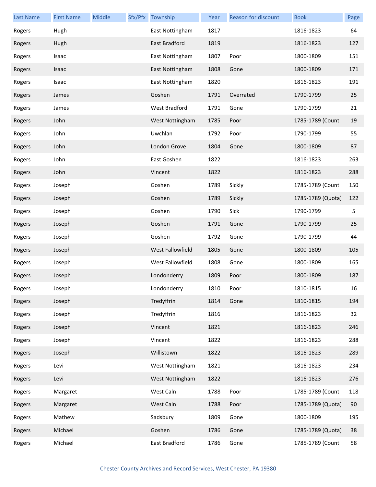| <b>Last Name</b> | <b>First Name</b> | Middle | Sfx/Pfx Township | Year | <b>Reason for discount</b> | <b>Book</b>       | Page |
|------------------|-------------------|--------|------------------|------|----------------------------|-------------------|------|
| Rogers           | Hugh              |        | East Nottingham  | 1817 |                            | 1816-1823         | 64   |
| Rogers           | Hugh              |        | East Bradford    | 1819 |                            | 1816-1823         | 127  |
| Rogers           | Isaac             |        | East Nottingham  | 1807 | Poor                       | 1800-1809         | 151  |
| Rogers           | Isaac             |        | East Nottingham  | 1808 | Gone                       | 1800-1809         | 171  |
| Rogers           | Isaac             |        | East Nottingham  | 1820 |                            | 1816-1823         | 191  |
| Rogers           | James             |        | Goshen           | 1791 | Overrated                  | 1790-1799         | 25   |
| Rogers           | James             |        | West Bradford    | 1791 | Gone                       | 1790-1799         | 21   |
| Rogers           | John              |        | West Nottingham  | 1785 | Poor                       | 1785-1789 (Count  | 19   |
| Rogers           | John              |        | Uwchlan          | 1792 | Poor                       | 1790-1799         | 55   |
| Rogers           | John              |        | London Grove     | 1804 | Gone                       | 1800-1809         | 87   |
| Rogers           | John              |        | East Goshen      | 1822 |                            | 1816-1823         | 263  |
| Rogers           | John              |        | Vincent          | 1822 |                            | 1816-1823         | 288  |
| Rogers           | Joseph            |        | Goshen           | 1789 | Sickly                     | 1785-1789 (Count  | 150  |
| Rogers           | Joseph            |        | Goshen           | 1789 | Sickly                     | 1785-1789 (Quota) | 122  |
| Rogers           | Joseph            |        | Goshen           | 1790 | Sick                       | 1790-1799         | 5    |
| Rogers           | Joseph            |        | Goshen           | 1791 | Gone                       | 1790-1799         | 25   |
| Rogers           | Joseph            |        | Goshen           | 1792 | Gone                       | 1790-1799         | 44   |
| Rogers           | Joseph            |        | West Fallowfield | 1805 | Gone                       | 1800-1809         | 105  |
| Rogers           | Joseph            |        | West Fallowfield | 1808 | Gone                       | 1800-1809         | 165  |
| Rogers           | Joseph            |        | Londonderry      | 1809 | Poor                       | 1800-1809         | 187  |
| Rogers           | Joseph            |        | Londonderry      | 1810 | Poor                       | 1810-1815         | 16   |
| Rogers           | Joseph            |        | Tredyffrin       | 1814 | Gone                       | 1810-1815         | 194  |
| Rogers           | Joseph            |        | Tredyffrin       | 1816 |                            | 1816-1823         | 32   |
| Rogers           | Joseph            |        | Vincent          | 1821 |                            | 1816-1823         | 246  |
| Rogers           | Joseph            |        | Vincent          | 1822 |                            | 1816-1823         | 288  |
| Rogers           | Joseph            |        | Willistown       | 1822 |                            | 1816-1823         | 289  |
| Rogers           | Levi              |        | West Nottingham  | 1821 |                            | 1816-1823         | 234  |
| Rogers           | Levi              |        | West Nottingham  | 1822 |                            | 1816-1823         | 276  |
| Rogers           | Margaret          |        | West Caln        | 1788 | Poor                       | 1785-1789 (Count  | 118  |
| Rogers           | Margaret          |        | West Caln        | 1788 | Poor                       | 1785-1789 (Quota) | 90   |
| Rogers           | Mathew            |        | Sadsbury         | 1809 | Gone                       | 1800-1809         | 195  |
| Rogers           | Michael           |        | Goshen           | 1786 | Gone                       | 1785-1789 (Quota) | 38   |
| Rogers           | Michael           |        | East Bradford    | 1786 | Gone                       | 1785-1789 (Count  | 58   |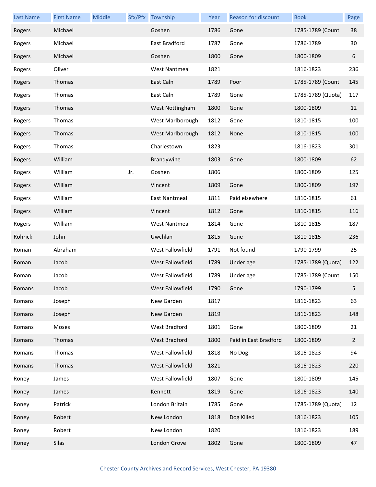| <b>Last Name</b> | <b>First Name</b> | Middle |     | Sfx/Pfx Township     | Year | Reason for discount   | <b>Book</b>       | Page           |
|------------------|-------------------|--------|-----|----------------------|------|-----------------------|-------------------|----------------|
| Rogers           | Michael           |        |     | Goshen               | 1786 | Gone                  | 1785-1789 (Count  | 38             |
| Rogers           | Michael           |        |     | East Bradford        | 1787 | Gone                  | 1786-1789         | 30             |
| Rogers           | Michael           |        |     | Goshen               | 1800 | Gone                  | 1800-1809         | 6              |
| Rogers           | Oliver            |        |     | <b>West Nantmeal</b> | 1821 |                       | 1816-1823         | 236            |
| Rogers           | Thomas            |        |     | East Caln            | 1789 | Poor                  | 1785-1789 (Count  | 145            |
| Rogers           | Thomas            |        |     | East Caln            | 1789 | Gone                  | 1785-1789 (Quota) | 117            |
| Rogers           | Thomas            |        |     | West Nottingham      | 1800 | Gone                  | 1800-1809         | 12             |
| Rogers           | Thomas            |        |     | West Marlborough     | 1812 | Gone                  | 1810-1815         | 100            |
| Rogers           | Thomas            |        |     | West Marlborough     | 1812 | None                  | 1810-1815         | 100            |
| Rogers           | Thomas            |        |     | Charlestown          | 1823 |                       | 1816-1823         | 301            |
| Rogers           | William           |        |     | Brandywine           | 1803 | Gone                  | 1800-1809         | 62             |
| Rogers           | William           |        | Jr. | Goshen               | 1806 |                       | 1800-1809         | 125            |
| Rogers           | William           |        |     | Vincent              | 1809 | Gone                  | 1800-1809         | 197            |
| Rogers           | William           |        |     | East Nantmeal        | 1811 | Paid elsewhere        | 1810-1815         | 61             |
| Rogers           | William           |        |     | Vincent              | 1812 | Gone                  | 1810-1815         | 116            |
| Rogers           | William           |        |     | <b>West Nantmeal</b> | 1814 | Gone                  | 1810-1815         | 187            |
| Rohrick          | John              |        |     | Uwchlan              | 1815 | Gone                  | 1810-1815         | 236            |
| Roman            | Abraham           |        |     | West Fallowfield     | 1791 | Not found             | 1790-1799         | 25             |
| Roman            | Jacob             |        |     | West Fallowfield     | 1789 | Under age             | 1785-1789 (Quota) | 122            |
| Roman            | Jacob             |        |     | West Fallowfield     | 1789 | Under age             | 1785-1789 (Count  | 150            |
| Romans           | Jacob             |        |     | West Fallowfield     | 1790 | Gone                  | 1790-1799         | 5.             |
| Romans           | Joseph            |        |     | New Garden           | 1817 |                       | 1816-1823         | 63             |
| Romans           | Joseph            |        |     | New Garden           | 1819 |                       | 1816-1823         | 148            |
| Romans           | Moses             |        |     | West Bradford        | 1801 | Gone                  | 1800-1809         | 21             |
| Romans           | Thomas            |        |     | West Bradford        | 1800 | Paid in East Bradford | 1800-1809         | $\overline{2}$ |
| Romans           | Thomas            |        |     | West Fallowfield     | 1818 | No Dog                | 1816-1823         | 94             |
| Romans           | Thomas            |        |     | West Fallowfield     | 1821 |                       | 1816-1823         | 220            |
| Roney            | James             |        |     | West Fallowfield     | 1807 | Gone                  | 1800-1809         | 145            |
| Roney            | James             |        |     | Kennett              | 1819 | Gone                  | 1816-1823         | 140            |
| Roney            | Patrick           |        |     | London Britain       | 1785 | Gone                  | 1785-1789 (Quota) | 12             |
| Roney            | Robert            |        |     | New London           | 1818 | Dog Killed            | 1816-1823         | 105            |
| Roney            | Robert            |        |     | New London           | 1820 |                       | 1816-1823         | 189            |
| Roney            | Silas             |        |     | London Grove         | 1802 | Gone                  | 1800-1809         | 47             |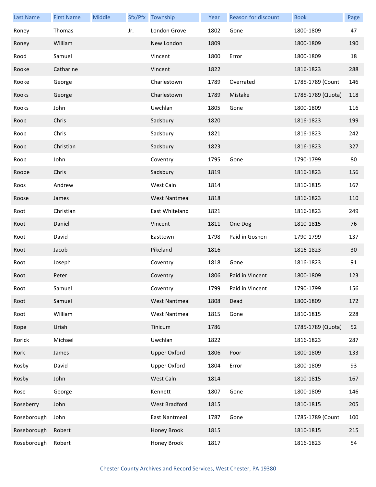| <b>Last Name</b> | <b>First Name</b> | Middle |     | Sfx/Pfx Township     | Year | Reason for discount | <b>Book</b>       | Page |
|------------------|-------------------|--------|-----|----------------------|------|---------------------|-------------------|------|
| Roney            | Thomas            |        | Jr. | London Grove         | 1802 | Gone                | 1800-1809         | 47   |
| Roney            | William           |        |     | New London           | 1809 |                     | 1800-1809         | 190  |
| Rood             | Samuel            |        |     | Vincent              | 1800 | Error               | 1800-1809         | 18   |
| Rooke            | Catharine         |        |     | Vincent              | 1822 |                     | 1816-1823         | 288  |
| Rooke            | George            |        |     | Charlestown          | 1789 | Overrated           | 1785-1789 (Count  | 146  |
| Rooks            | George            |        |     | Charlestown          | 1789 | Mistake             | 1785-1789 (Quota) | 118  |
| Rooks            | John              |        |     | Uwchlan              | 1805 | Gone                | 1800-1809         | 116  |
| Roop             | Chris             |        |     | Sadsbury             | 1820 |                     | 1816-1823         | 199  |
| Roop             | Chris             |        |     | Sadsbury             | 1821 |                     | 1816-1823         | 242  |
| Roop             | Christian         |        |     | Sadsbury             | 1823 |                     | 1816-1823         | 327  |
| Roop             | John              |        |     | Coventry             | 1795 | Gone                | 1790-1799         | 80   |
| Roope            | Chris             |        |     | Sadsbury             | 1819 |                     | 1816-1823         | 156  |
| Roos             | Andrew            |        |     | West Caln            | 1814 |                     | 1810-1815         | 167  |
| Roose            | James             |        |     | <b>West Nantmeal</b> | 1818 |                     | 1816-1823         | 110  |
| Root             | Christian         |        |     | East Whiteland       | 1821 |                     | 1816-1823         | 249  |
| Root             | Daniel            |        |     | Vincent              | 1811 | One Dog             | 1810-1815         | 76   |
| Root             | David             |        |     | Easttown             | 1798 | Paid in Goshen      | 1790-1799         | 137  |
| Root             | Jacob             |        |     | Pikeland             | 1816 |                     | 1816-1823         | 30   |
| Root             | Joseph            |        |     | Coventry             | 1818 | Gone                | 1816-1823         | 91   |
| Root             | Peter             |        |     | Coventry             | 1806 | Paid in Vincent     | 1800-1809         | 123  |
| Root             | Samuel            |        |     | Coventry             | 1799 | Paid in Vincent     | 1790-1799         | 156  |
| Root             | Samuel            |        |     | <b>West Nantmeal</b> | 1808 | Dead                | 1800-1809         | 172  |
| Root             | William           |        |     | <b>West Nantmeal</b> | 1815 | Gone                | 1810-1815         | 228  |
| Rope             | Uriah             |        |     | Tinicum              | 1786 |                     | 1785-1789 (Quota) | 52   |
| Rorick           | Michael           |        |     | Uwchlan              | 1822 |                     | 1816-1823         | 287  |
| Rork             | James             |        |     | <b>Upper Oxford</b>  | 1806 | Poor                | 1800-1809         | 133  |
| Rosby            | David             |        |     | <b>Upper Oxford</b>  | 1804 | Error               | 1800-1809         | 93   |
| Rosby            | John              |        |     | West Caln            | 1814 |                     | 1810-1815         | 167  |
| Rose             | George            |        |     | Kennett              | 1807 | Gone                | 1800-1809         | 146  |
| Roseberry        | John              |        |     | West Bradford        | 1815 |                     | 1810-1815         | 205  |
| Roseborough      | John              |        |     | East Nantmeal        | 1787 | Gone                | 1785-1789 (Count  | 100  |
| Roseborough      | Robert            |        |     | Honey Brook          | 1815 |                     | 1810-1815         | 215  |
| Roseborough      | Robert            |        |     | Honey Brook          | 1817 |                     | 1816-1823         | 54   |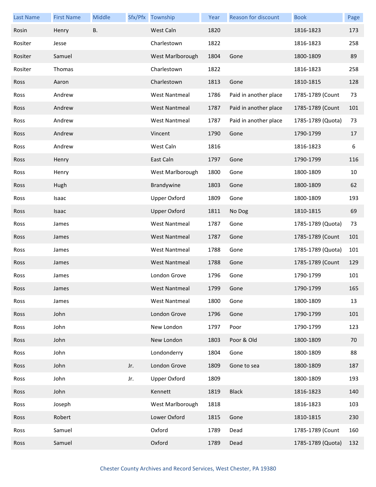| <b>Last Name</b> | <b>First Name</b> | Middle    |     | Sfx/Pfx Township     | Year | Reason for discount   | <b>Book</b>       | Page |
|------------------|-------------------|-----------|-----|----------------------|------|-----------------------|-------------------|------|
| Rosin            | Henry             | <b>B.</b> |     | West Caln            | 1820 |                       | 1816-1823         | 173  |
| Rositer          | Jesse             |           |     | Charlestown          | 1822 |                       | 1816-1823         | 258  |
| Rositer          | Samuel            |           |     | West Marlborough     | 1804 | Gone                  | 1800-1809         | 89   |
| Rositer          | Thomas            |           |     | Charlestown          | 1822 |                       | 1816-1823         | 258  |
| <b>Ross</b>      | Aaron             |           |     | Charlestown          | 1813 | Gone                  | 1810-1815         | 128  |
| Ross             | Andrew            |           |     | <b>West Nantmeal</b> | 1786 | Paid in another place | 1785-1789 (Count  | 73   |
| <b>Ross</b>      | Andrew            |           |     | <b>West Nantmeal</b> | 1787 | Paid in another place | 1785-1789 (Count  | 101  |
| Ross             | Andrew            |           |     | <b>West Nantmeal</b> | 1787 | Paid in another place | 1785-1789 (Quota) | 73   |
| <b>Ross</b>      | Andrew            |           |     | Vincent              | 1790 | Gone                  | 1790-1799         | 17   |
| Ross             | Andrew            |           |     | West Caln            | 1816 |                       | 1816-1823         | 6    |
| <b>Ross</b>      | Henry             |           |     | East Caln            | 1797 | Gone                  | 1790-1799         | 116  |
| Ross             | Henry             |           |     | West Marlborough     | 1800 | Gone                  | 1800-1809         | 10   |
| <b>Ross</b>      | Hugh              |           |     | Brandywine           | 1803 | Gone                  | 1800-1809         | 62   |
| Ross             | Isaac             |           |     | <b>Upper Oxford</b>  | 1809 | Gone                  | 1800-1809         | 193  |
| <b>Ross</b>      | Isaac             |           |     | <b>Upper Oxford</b>  | 1811 | No Dog                | 1810-1815         | 69   |
| Ross             | James             |           |     | <b>West Nantmeal</b> | 1787 | Gone                  | 1785-1789 (Quota) | 73   |
| <b>Ross</b>      | James             |           |     | <b>West Nantmeal</b> | 1787 | Gone                  | 1785-1789 (Count  | 101  |
| Ross             | James             |           |     | <b>West Nantmeal</b> | 1788 | Gone                  | 1785-1789 (Quota) | 101  |
| <b>Ross</b>      | James             |           |     | <b>West Nantmeal</b> | 1788 | Gone                  | 1785-1789 (Count  | 129  |
| Ross             | James             |           |     | London Grove         | 1796 | Gone                  | 1790-1799         | 101  |
| Ross             | James             |           |     | West Nantmeal        | 1799 | Gone                  | 1790-1799         | 165  |
| Ross             | James             |           |     | <b>West Nantmeal</b> | 1800 | Gone                  | 1800-1809         | 13   |
| Ross             | John              |           |     | London Grove         | 1796 | Gone                  | 1790-1799         | 101  |
| Ross             | John              |           |     | New London           | 1797 | Poor                  | 1790-1799         | 123  |
| Ross             | John              |           |     | New London           | 1803 | Poor & Old            | 1800-1809         | 70   |
| Ross             | John              |           |     | Londonderry          | 1804 | Gone                  | 1800-1809         | 88   |
| Ross             | John              |           | Jr. | London Grove         | 1809 | Gone to sea           | 1800-1809         | 187  |
| Ross             | John              |           | Jr. | <b>Upper Oxford</b>  | 1809 |                       | 1800-1809         | 193  |
| Ross             | John              |           |     | Kennett              | 1819 | <b>Black</b>          | 1816-1823         | 140  |
| Ross             | Joseph            |           |     | West Marlborough     | 1818 |                       | 1816-1823         | 103  |
| Ross             | Robert            |           |     | Lower Oxford         | 1815 | Gone                  | 1810-1815         | 230  |
| Ross             | Samuel            |           |     | Oxford               | 1789 | Dead                  | 1785-1789 (Count  | 160  |
| Ross             | Samuel            |           |     | Oxford               | 1789 | Dead                  | 1785-1789 (Quota) | 132  |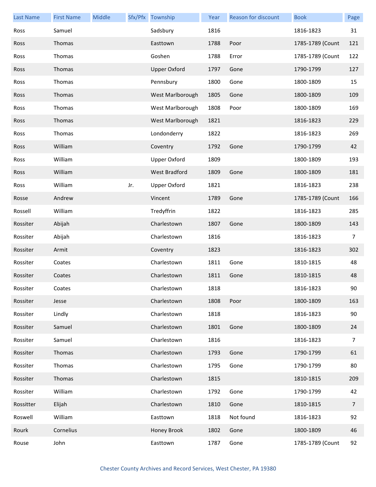| <b>Last Name</b> | <b>First Name</b> | Middle |     | Sfx/Pfx Township     | Year | <b>Reason for discount</b> | <b>Book</b>      | Page           |
|------------------|-------------------|--------|-----|----------------------|------|----------------------------|------------------|----------------|
| Ross             | Samuel            |        |     | Sadsbury             | 1816 |                            | 1816-1823        | 31             |
| Ross             | Thomas            |        |     | Easttown             | 1788 | Poor                       | 1785-1789 (Count | 121            |
| Ross             | Thomas            |        |     | Goshen               | 1788 | Error                      | 1785-1789 (Count | 122            |
| Ross             | Thomas            |        |     | <b>Upper Oxford</b>  | 1797 | Gone                       | 1790-1799        | 127            |
| Ross             | Thomas            |        |     | Pennsbury            | 1800 | Gone                       | 1800-1809        | 15             |
| Ross             | Thomas            |        |     | West Marlborough     | 1805 | Gone                       | 1800-1809        | 109            |
| Ross             | Thomas            |        |     | West Marlborough     | 1808 | Poor                       | 1800-1809        | 169            |
| Ross             | Thomas            |        |     | West Marlborough     | 1821 |                            | 1816-1823        | 229            |
| Ross             | Thomas            |        |     | Londonderry          | 1822 |                            | 1816-1823        | 269            |
| Ross             | William           |        |     | Coventry             | 1792 | Gone                       | 1790-1799        | 42             |
| Ross             | William           |        |     | <b>Upper Oxford</b>  | 1809 |                            | 1800-1809        | 193            |
| Ross             | William           |        |     | <b>West Bradford</b> | 1809 | Gone                       | 1800-1809        | 181            |
| Ross             | William           |        | Jr. | <b>Upper Oxford</b>  | 1821 |                            | 1816-1823        | 238            |
| Rosse            | Andrew            |        |     | Vincent              | 1789 | Gone                       | 1785-1789 (Count | 166            |
| Rossell          | William           |        |     | Tredyffrin           | 1822 |                            | 1816-1823        | 285            |
| Rossiter         | Abijah            |        |     | Charlestown          | 1807 | Gone                       | 1800-1809        | 143            |
| Rossiter         | Abijah            |        |     | Charlestown          | 1816 |                            | 1816-1823        | $\overline{7}$ |
| Rossiter         | Armit             |        |     | Coventry             | 1823 |                            | 1816-1823        | 302            |
| Rossiter         | Coates            |        |     | Charlestown          | 1811 | Gone                       | 1810-1815        | 48             |
| Rossiter         | Coates            |        |     | Charlestown          | 1811 | Gone                       | 1810-1815        | 48             |
| Rossiter         | Coates            |        |     | Charlestown          | 1818 |                            | 1816-1823        | 90             |
| Rossiter         | Jesse             |        |     | Charlestown          | 1808 | Poor                       | 1800-1809        | 163            |
| Rossiter         | Lindly            |        |     | Charlestown          | 1818 |                            | 1816-1823        | 90             |
| Rossiter         | Samuel            |        |     | Charlestown          | 1801 | Gone                       | 1800-1809        | 24             |
| Rossiter         | Samuel            |        |     | Charlestown          | 1816 |                            | 1816-1823        | 7              |
| Rossiter         | Thomas            |        |     | Charlestown          | 1793 | Gone                       | 1790-1799        | 61             |
| Rossiter         | Thomas            |        |     | Charlestown          | 1795 | Gone                       | 1790-1799        | 80             |
| Rossiter         | Thomas            |        |     | Charlestown          | 1815 |                            | 1810-1815        | 209            |
| Rossiter         | William           |        |     | Charlestown          | 1792 | Gone                       | 1790-1799        | 42             |
| Rossitter        | Elijah            |        |     | Charlestown          | 1810 | Gone                       | 1810-1815        | $\overline{7}$ |
| Roswell          | William           |        |     | Easttown             | 1818 | Not found                  | 1816-1823        | 92             |
| Rourk            | Cornelius         |        |     | Honey Brook          | 1802 | Gone                       | 1800-1809        | 46             |
| Rouse            | John              |        |     | Easttown             | 1787 | Gone                       | 1785-1789 (Count | 92             |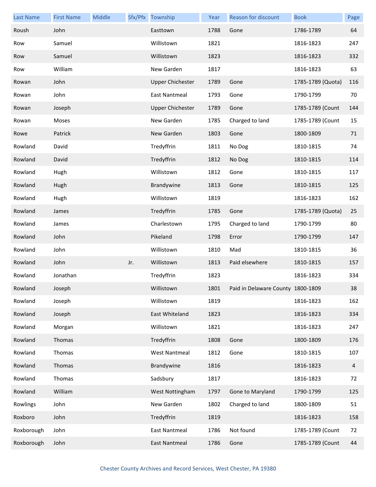| <b>Last Name</b> | <b>First Name</b> | Middle |     | Sfx/Pfx Township        | Year | Reason for discount               | <b>Book</b>       | Page           |
|------------------|-------------------|--------|-----|-------------------------|------|-----------------------------------|-------------------|----------------|
| Roush            | John              |        |     | Easttown                | 1788 | Gone                              | 1786-1789         | 64             |
| Row              | Samuel            |        |     | Willistown              | 1821 |                                   | 1816-1823         | 247            |
| Row              | Samuel            |        |     | Willistown              | 1823 |                                   | 1816-1823         | 332            |
| Row              | William           |        |     | New Garden              | 1817 |                                   | 1816-1823         | 63             |
| Rowan            | John              |        |     | <b>Upper Chichester</b> | 1789 | Gone                              | 1785-1789 (Quota) | 116            |
| Rowan            | John              |        |     | East Nantmeal           | 1793 | Gone                              | 1790-1799         | 70             |
| Rowan            | Joseph            |        |     | <b>Upper Chichester</b> | 1789 | Gone                              | 1785-1789 (Count  | 144            |
| Rowan            | Moses             |        |     | New Garden              | 1785 | Charged to land                   | 1785-1789 (Count  | 15             |
| Rowe             | Patrick           |        |     | New Garden              | 1803 | Gone                              | 1800-1809         | 71             |
| Rowland          | David             |        |     | Tredyffrin              | 1811 | No Dog                            | 1810-1815         | 74             |
| Rowland          | David             |        |     | Tredyffrin              | 1812 | No Dog                            | 1810-1815         | 114            |
| Rowland          | Hugh              |        |     | Willistown              | 1812 | Gone                              | 1810-1815         | 117            |
| Rowland          | Hugh              |        |     | Brandywine              | 1813 | Gone                              | 1810-1815         | 125            |
| Rowland          | Hugh              |        |     | Willistown              | 1819 |                                   | 1816-1823         | 162            |
| Rowland          | James             |        |     | Tredyffrin              | 1785 | Gone                              | 1785-1789 (Quota) | 25             |
| Rowland          | James             |        |     | Charlestown             | 1795 | Charged to land                   | 1790-1799         | 80             |
| Rowland          | John              |        |     | Pikeland                | 1798 | Error                             | 1790-1799         | 147            |
| Rowland          | John              |        |     | Willistown              | 1810 | Mad                               | 1810-1815         | 36             |
| Rowland          | John              |        | Jr. | Willistown              | 1813 | Paid elsewhere                    | 1810-1815         | 157            |
| Rowland          | Jonathan          |        |     | Tredyffrin              | 1823 |                                   | 1816-1823         | 334            |
| Rowland          | Joseph            |        |     | Willistown              | 1801 | Paid in Delaware County 1800-1809 |                   | 38             |
| Rowland          | Joseph            |        |     | Willistown              | 1819 |                                   | 1816-1823         | 162            |
| Rowland          | Joseph            |        |     | East Whiteland          | 1823 |                                   | 1816-1823         | 334            |
| Rowland          | Morgan            |        |     | Willistown              | 1821 |                                   | 1816-1823         | 247            |
| Rowland          | Thomas            |        |     | Tredyffrin              | 1808 | Gone                              | 1800-1809         | 176            |
| Rowland          | Thomas            |        |     | <b>West Nantmeal</b>    | 1812 | Gone                              | 1810-1815         | 107            |
| Rowland          | Thomas            |        |     | Brandywine              | 1816 |                                   | 1816-1823         | $\overline{4}$ |
| Rowland          | Thomas            |        |     | Sadsbury                | 1817 |                                   | 1816-1823         | 72             |
| Rowland          | William           |        |     | West Nottingham         | 1797 | Gone to Maryland                  | 1790-1799         | 125            |
| Rowlings         | John              |        |     | New Garden              | 1802 | Charged to land                   | 1800-1809         | 51             |
| Roxboro          | John              |        |     | Tredyffrin              | 1819 |                                   | 1816-1823         | 158            |
| Roxborough       | John              |        |     | <b>East Nantmeal</b>    | 1786 | Not found                         | 1785-1789 (Count  | 72             |
| Roxborough       | John              |        |     | East Nantmeal           | 1786 | Gone                              | 1785-1789 (Count  | 44             |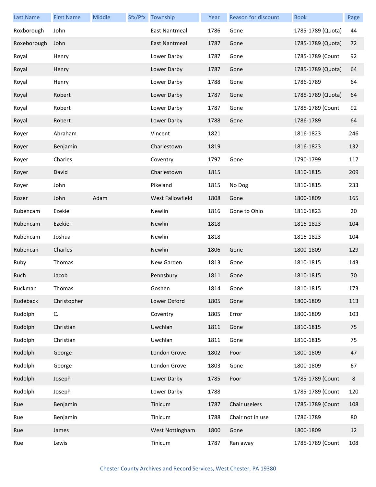| <b>Last Name</b> | <b>First Name</b> | Middle | Sfx/Pfx Township        | Year | Reason for discount | <b>Book</b>       | Page    |
|------------------|-------------------|--------|-------------------------|------|---------------------|-------------------|---------|
| Roxborough       | John              |        | East Nantmeal           | 1786 | Gone                | 1785-1789 (Quota) | 44      |
| Roxeborough      | John              |        | East Nantmeal           | 1787 | Gone                | 1785-1789 (Quota) | 72      |
| Royal            | Henry             |        | Lower Darby             | 1787 | Gone                | 1785-1789 (Count  | 92      |
| Royal            | Henry             |        | Lower Darby             | 1787 | Gone                | 1785-1789 (Quota) | 64      |
| Royal            | Henry             |        | Lower Darby             | 1788 | Gone                | 1786-1789         | 64      |
| Royal            | Robert            |        | Lower Darby             | 1787 | Gone                | 1785-1789 (Quota) | 64      |
| Royal            | Robert            |        | Lower Darby             | 1787 | Gone                | 1785-1789 (Count  | 92      |
| Royal            | Robert            |        | Lower Darby             | 1788 | Gone                | 1786-1789         | 64      |
| Royer            | Abraham           |        | Vincent                 | 1821 |                     | 1816-1823         | 246     |
| Royer            | Benjamin          |        | Charlestown             | 1819 |                     | 1816-1823         | 132     |
| Royer            | Charles           |        | Coventry                | 1797 | Gone                | 1790-1799         | 117     |
| Royer            | David             |        | Charlestown             | 1815 |                     | 1810-1815         | 209     |
| Royer            | John              |        | Pikeland                | 1815 | No Dog              | 1810-1815         | 233     |
| Rozer            | John              | Adam   | <b>West Fallowfield</b> | 1808 | Gone                | 1800-1809         | 165     |
| Rubencam         | Ezekiel           |        | Newlin                  | 1816 | Gone to Ohio        | 1816-1823         | 20      |
| Rubencam         | Ezekiel           |        | Newlin                  | 1818 |                     | 1816-1823         | 104     |
| Rubencam         | Joshua            |        | Newlin                  | 1818 |                     | 1816-1823         | 104     |
| Rubencan         | Charles           |        | Newlin                  | 1806 | Gone                | 1800-1809         | 129     |
| Ruby             | Thomas            |        | New Garden              | 1813 | Gone                | 1810-1815         | 143     |
| Ruch             | Jacob             |        | Pennsbury               | 1811 | Gone                | 1810-1815         | 70      |
| Ruckman          | Thomas            |        | Goshen                  | 1814 | Gone                | 1810-1815         | 173     |
| Rudeback         | Christopher       |        | Lower Oxford            | 1805 | Gone                | 1800-1809         | 113     |
| Rudolph          | C.                |        | Coventry                | 1805 | Error               | 1800-1809         | 103     |
| Rudolph          | Christian         |        | Uwchlan                 | 1811 | Gone                | 1810-1815         | 75      |
| Rudolph          | Christian         |        | Uwchlan                 | 1811 | Gone                | 1810-1815         | 75      |
| Rudolph          | George            |        | London Grove            | 1802 | Poor                | 1800-1809         | 47      |
| Rudolph          | George            |        | London Grove            | 1803 | Gone                | 1800-1809         | 67      |
| Rudolph          | Joseph            |        | Lower Darby             | 1785 | Poor                | 1785-1789 (Count  | $\,8\,$ |
| Rudolph          | Joseph            |        | Lower Darby             | 1788 |                     | 1785-1789 (Count  | 120     |
| Rue              | Benjamin          |        | Tinicum                 | 1787 | Chair useless       | 1785-1789 (Count  | 108     |
| Rue              | Benjamin          |        | Tinicum                 | 1788 | Chair not in use    | 1786-1789         | 80      |
| Rue              | James             |        | West Nottingham         | 1800 | Gone                | 1800-1809         | 12      |
| Rue              | Lewis             |        | Tinicum                 | 1787 | Ran away            | 1785-1789 (Count  | 108     |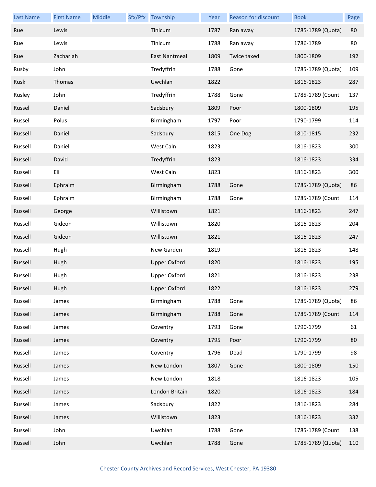| <b>Last Name</b> | <b>First Name</b> | Middle | Sfx/Pfx Township     | Year | Reason for discount | <b>Book</b>       | Page |
|------------------|-------------------|--------|----------------------|------|---------------------|-------------------|------|
| Rue              | Lewis             |        | Tinicum              | 1787 | Ran away            | 1785-1789 (Quota) | 80   |
| Rue              | Lewis             |        | Tinicum              | 1788 | Ran away            | 1786-1789         | 80   |
| Rue              | Zachariah         |        | <b>East Nantmeal</b> | 1809 | Twice taxed         | 1800-1809         | 192  |
| Rusby            | John              |        | Tredyffrin           | 1788 | Gone                | 1785-1789 (Quota) | 109  |
| Rusk             | Thomas            |        | Uwchlan              | 1822 |                     | 1816-1823         | 287  |
| Rusley           | John              |        | Tredyffrin           | 1788 | Gone                | 1785-1789 (Count  | 137  |
| Russel           | Daniel            |        | Sadsbury             | 1809 | Poor                | 1800-1809         | 195  |
| Russel           | Polus             |        | Birmingham           | 1797 | Poor                | 1790-1799         | 114  |
| Russell          | Daniel            |        | Sadsbury             | 1815 | One Dog             | 1810-1815         | 232  |
| Russell          | Daniel            |        | West Caln            | 1823 |                     | 1816-1823         | 300  |
| Russell          | David             |        | Tredyffrin           | 1823 |                     | 1816-1823         | 334  |
| Russell          | Eli               |        | West Caln            | 1823 |                     | 1816-1823         | 300  |
| Russell          | Ephraim           |        | Birmingham           | 1788 | Gone                | 1785-1789 (Quota) | 86   |
| Russell          | Ephraim           |        | Birmingham           | 1788 | Gone                | 1785-1789 (Count  | 114  |
| Russell          | George            |        | Willistown           | 1821 |                     | 1816-1823         | 247  |
| Russell          | Gideon            |        | Willistown           | 1820 |                     | 1816-1823         | 204  |
| Russell          | Gideon            |        | Willistown           | 1821 |                     | 1816-1823         | 247  |
| Russell          | Hugh              |        | New Garden           | 1819 |                     | 1816-1823         | 148  |
| Russell          | Hugh              |        | <b>Upper Oxford</b>  | 1820 |                     | 1816-1823         | 195  |
| Russell          | Hugh              |        | <b>Upper Oxford</b>  | 1821 |                     | 1816-1823         | 238  |
| Russell          | Hugh              |        | <b>Upper Oxford</b>  | 1822 |                     | 1816-1823         | 279  |
| Russell          | James             |        | Birmingham           | 1788 | Gone                | 1785-1789 (Quota) | 86   |
| Russell          | James             |        | Birmingham           | 1788 | Gone                | 1785-1789 (Count  | 114  |
| Russell          | James             |        | Coventry             | 1793 | Gone                | 1790-1799         | 61   |
| Russell          | James             |        | Coventry             | 1795 | Poor                | 1790-1799         | 80   |
| Russell          | James             |        | Coventry             | 1796 | Dead                | 1790-1799         | 98   |
| Russell          | James             |        | New London           | 1807 | Gone                | 1800-1809         | 150  |
| Russell          | James             |        | New London           | 1818 |                     | 1816-1823         | 105  |
| Russell          | James             |        | London Britain       | 1820 |                     | 1816-1823         | 184  |
| Russell          | James             |        | Sadsbury             | 1822 |                     | 1816-1823         | 284  |
| Russell          | James             |        | Willistown           | 1823 |                     | 1816-1823         | 332  |
| Russell          | John              |        | Uwchlan              | 1788 | Gone                | 1785-1789 (Count  | 138  |
| Russell          | John              |        | Uwchlan              | 1788 | Gone                | 1785-1789 (Quota) | 110  |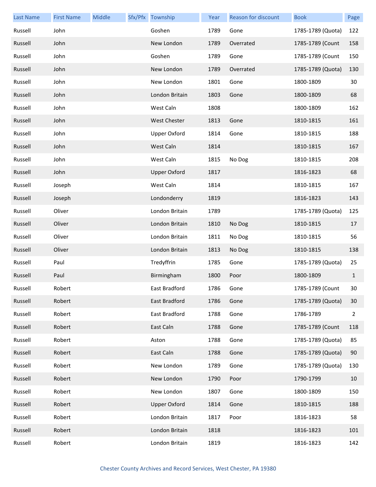| <b>Last Name</b> | <b>First Name</b> | Middle | Sfx/Pfx Township    | Year | <b>Reason for discount</b> | <b>Book</b>       | Page           |
|------------------|-------------------|--------|---------------------|------|----------------------------|-------------------|----------------|
| Russell          | John              |        | Goshen              | 1789 | Gone                       | 1785-1789 (Quota) | 122            |
| Russell          | John              |        | New London          | 1789 | Overrated                  | 1785-1789 (Count  | 158            |
| Russell          | John              |        | Goshen              | 1789 | Gone                       | 1785-1789 (Count  | 150            |
| Russell          | John              |        | New London          | 1789 | Overrated                  | 1785-1789 (Quota) | 130            |
| Russell          | John              |        | New London          | 1801 | Gone                       | 1800-1809         | 30             |
| Russell          | John              |        | London Britain      | 1803 | Gone                       | 1800-1809         | 68             |
| Russell          | John              |        | West Caln           | 1808 |                            | 1800-1809         | 162            |
| Russell          | John              |        | <b>West Chester</b> | 1813 | Gone                       | 1810-1815         | 161            |
| Russell          | John              |        | <b>Upper Oxford</b> | 1814 | Gone                       | 1810-1815         | 188            |
| Russell          | John              |        | West Caln           | 1814 |                            | 1810-1815         | 167            |
| Russell          | John              |        | West Caln           | 1815 | No Dog                     | 1810-1815         | 208            |
| Russell          | John              |        | <b>Upper Oxford</b> | 1817 |                            | 1816-1823         | 68             |
| Russell          | Joseph            |        | West Caln           | 1814 |                            | 1810-1815         | 167            |
| Russell          | Joseph            |        | Londonderry         | 1819 |                            | 1816-1823         | 143            |
| Russell          | Oliver            |        | London Britain      | 1789 |                            | 1785-1789 (Quota) | 125            |
| Russell          | Oliver            |        | London Britain      | 1810 | No Dog                     | 1810-1815         | 17             |
| Russell          | Oliver            |        | London Britain      | 1811 | No Dog                     | 1810-1815         | 56             |
| Russell          | Oliver            |        | London Britain      | 1813 | No Dog                     | 1810-1815         | 138            |
| Russell          | Paul              |        | Tredyffrin          | 1785 | Gone                       | 1785-1789 (Quota) | 25             |
| Russell          | Paul              |        | Birmingham          | 1800 | Poor                       | 1800-1809         | $\mathbf{1}$   |
| Russell          | Robert            |        | East Bradford       | 1786 | Gone                       | 1785-1789 (Count  | 30             |
| Russell          | Robert            |        | East Bradford       | 1786 | Gone                       | 1785-1789 (Quota) | 30             |
| Russell          | Robert            |        | East Bradford       | 1788 | Gone                       | 1786-1789         | $\overline{2}$ |
| Russell          | Robert            |        | East Caln           | 1788 | Gone                       | 1785-1789 (Count  | 118            |
| Russell          | Robert            |        | Aston               | 1788 | Gone                       | 1785-1789 (Quota) | 85             |
| Russell          | Robert            |        | East Caln           | 1788 | Gone                       | 1785-1789 (Quota) | 90             |
| Russell          | Robert            |        | New London          | 1789 | Gone                       | 1785-1789 (Quota) | 130            |
| Russell          | Robert            |        | New London          | 1790 | Poor                       | 1790-1799         | 10             |
| Russell          | Robert            |        | New London          | 1807 | Gone                       | 1800-1809         | 150            |
| Russell          | Robert            |        | <b>Upper Oxford</b> | 1814 | Gone                       | 1810-1815         | 188            |
| Russell          | Robert            |        | London Britain      | 1817 | Poor                       | 1816-1823         | 58             |
| Russell          | Robert            |        | London Britain      | 1818 |                            | 1816-1823         | 101            |
| Russell          | Robert            |        | London Britain      | 1819 |                            | 1816-1823         | 142            |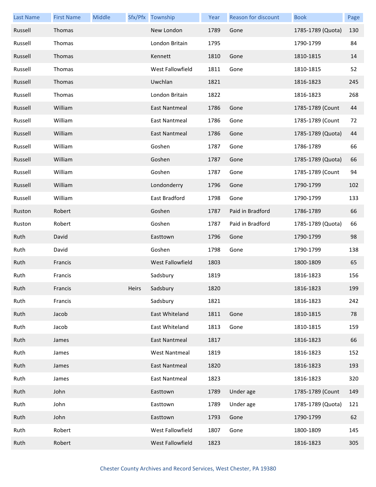| <b>Last Name</b> | <b>First Name</b> | Middle |       | Sfx/Pfx Township     | Year | Reason for discount | <b>Book</b>       | Page |
|------------------|-------------------|--------|-------|----------------------|------|---------------------|-------------------|------|
| Russell          | Thomas            |        |       | New London           | 1789 | Gone                | 1785-1789 (Quota) | 130  |
| Russell          | Thomas            |        |       | London Britain       | 1795 |                     | 1790-1799         | 84   |
| Russell          | Thomas            |        |       | Kennett              | 1810 | Gone                | 1810-1815         | 14   |
| Russell          | Thomas            |        |       | West Fallowfield     | 1811 | Gone                | 1810-1815         | 52   |
| Russell          | Thomas            |        |       | Uwchlan              | 1821 |                     | 1816-1823         | 245  |
| Russell          | Thomas            |        |       | London Britain       | 1822 |                     | 1816-1823         | 268  |
| Russell          | William           |        |       | East Nantmeal        | 1786 | Gone                | 1785-1789 (Count  | 44   |
| Russell          | William           |        |       | East Nantmeal        | 1786 | Gone                | 1785-1789 (Count  | 72   |
| Russell          | William           |        |       | East Nantmeal        | 1786 | Gone                | 1785-1789 (Quota) | 44   |
| Russell          | William           |        |       | Goshen               | 1787 | Gone                | 1786-1789         | 66   |
| Russell          | William           |        |       | Goshen               | 1787 | Gone                | 1785-1789 (Quota) | 66   |
| Russell          | William           |        |       | Goshen               | 1787 | Gone                | 1785-1789 (Count  | 94   |
| Russell          | William           |        |       | Londonderry          | 1796 | Gone                | 1790-1799         | 102  |
| Russell          | William           |        |       | East Bradford        | 1798 | Gone                | 1790-1799         | 133  |
| Ruston           | Robert            |        |       | Goshen               | 1787 | Paid in Bradford    | 1786-1789         | 66   |
| Ruston           | Robert            |        |       | Goshen               | 1787 | Paid in Bradford    | 1785-1789 (Quota) | 66   |
| Ruth             | David             |        |       | Easttown             | 1796 | Gone                | 1790-1799         | 98   |
| Ruth             | David             |        |       | Goshen               | 1798 | Gone                | 1790-1799         | 138  |
| Ruth             | Francis           |        |       | West Fallowfield     | 1803 |                     | 1800-1809         | 65   |
| Ruth             | Francis           |        |       | Sadsbury             | 1819 |                     | 1816-1823         | 156  |
| Ruth             | Francis           |        | Heirs | Sadsbury             | 1820 |                     | 1816-1823         | 199  |
| Ruth             | Francis           |        |       | Sadsbury             | 1821 |                     | 1816-1823         | 242  |
| Ruth             | Jacob             |        |       | East Whiteland       | 1811 | Gone                | 1810-1815         | 78   |
| Ruth             | Jacob             |        |       | East Whiteland       | 1813 | Gone                | 1810-1815         | 159  |
| Ruth             | James             |        |       | East Nantmeal        | 1817 |                     | 1816-1823         | 66   |
| Ruth             | James             |        |       | <b>West Nantmeal</b> | 1819 |                     | 1816-1823         | 152  |
| Ruth             | James             |        |       | East Nantmeal        | 1820 |                     | 1816-1823         | 193  |
| Ruth             | James             |        |       | East Nantmeal        | 1823 |                     | 1816-1823         | 320  |
| Ruth             | John              |        |       | Easttown             | 1789 | Under age           | 1785-1789 (Count  | 149  |
| Ruth             | John              |        |       | Easttown             | 1789 | Under age           | 1785-1789 (Quota) | 121  |
| Ruth             | John              |        |       | Easttown             | 1793 | Gone                | 1790-1799         | 62   |
| Ruth             | Robert            |        |       | West Fallowfield     | 1807 | Gone                | 1800-1809         | 145  |
| Ruth             | Robert            |        |       | West Fallowfield     | 1823 |                     | 1816-1823         | 305  |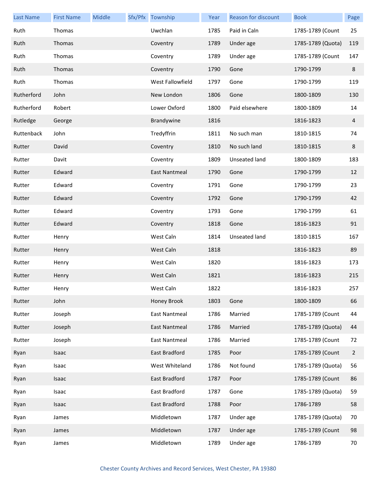| <b>Last Name</b> | <b>First Name</b> | Middle | Sfx/Pfx Township     | Year | Reason for discount | <b>Book</b>       | Page           |
|------------------|-------------------|--------|----------------------|------|---------------------|-------------------|----------------|
| Ruth             | Thomas            |        | Uwchlan              | 1785 | Paid in Caln        | 1785-1789 (Count  | 25             |
| Ruth             | Thomas            |        | Coventry             | 1789 | Under age           | 1785-1789 (Quota) | 119            |
| Ruth             | Thomas            |        | Coventry             | 1789 | Under age           | 1785-1789 (Count  | 147            |
| Ruth             | Thomas            |        | Coventry             | 1790 | Gone                | 1790-1799         | 8              |
| Ruth             | Thomas            |        | West Fallowfield     | 1797 | Gone                | 1790-1799         | 119            |
| Rutherford       | John              |        | New London           | 1806 | Gone                | 1800-1809         | 130            |
| Rutherford       | Robert            |        | Lower Oxford         | 1800 | Paid elsewhere      | 1800-1809         | 14             |
| Rutledge         | George            |        | Brandywine           | 1816 |                     | 1816-1823         | 4              |
| Ruttenback       | John              |        | Tredyffrin           | 1811 | No such man         | 1810-1815         | 74             |
| Rutter           | David             |        | Coventry             | 1810 | No such land        | 1810-1815         | 8              |
| Rutter           | Davit             |        | Coventry             | 1809 | Unseated land       | 1800-1809         | 183            |
| Rutter           | Edward            |        | East Nantmeal        | 1790 | Gone                | 1790-1799         | 12             |
| Rutter           | Edward            |        | Coventry             | 1791 | Gone                | 1790-1799         | 23             |
| Rutter           | Edward            |        | Coventry             | 1792 | Gone                | 1790-1799         | 42             |
| Rutter           | Edward            |        | Coventry             | 1793 | Gone                | 1790-1799         | 61             |
| Rutter           | Edward            |        | Coventry             | 1818 | Gone                | 1816-1823         | 91             |
| Rutter           | Henry             |        | West Caln            | 1814 | Unseated land       | 1810-1815         | 167            |
| Rutter           | Henry             |        | West Caln            | 1818 |                     | 1816-1823         | 89             |
| Rutter           | Henry             |        | West Caln            | 1820 |                     | 1816-1823         | 173            |
| Rutter           | Henry             |        | West Caln            | 1821 |                     | 1816-1823         | 215            |
| Rutter           | Henry             |        | West Caln            | 1822 |                     | 1816-1823         | 257            |
| Rutter           | John              |        | Honey Brook          | 1803 | Gone                | 1800-1809         | 66             |
| Rutter           | Joseph            |        | <b>East Nantmeal</b> | 1786 | Married             | 1785-1789 (Count  | 44             |
| Rutter           | Joseph            |        | <b>East Nantmeal</b> | 1786 | Married             | 1785-1789 (Quota) | 44             |
| Rutter           | Joseph            |        | East Nantmeal        | 1786 | Married             | 1785-1789 (Count  | 72             |
| Ryan             | Isaac             |        | East Bradford        | 1785 | Poor                | 1785-1789 (Count  | $\overline{2}$ |
| Ryan             | Isaac             |        | West Whiteland       | 1786 | Not found           | 1785-1789 (Quota) | 56             |
| Ryan             | Isaac             |        | East Bradford        | 1787 | Poor                | 1785-1789 (Count  | 86             |
| Ryan             | Isaac             |        | East Bradford        | 1787 | Gone                | 1785-1789 (Quota) | 59             |
| Ryan             | Isaac             |        | East Bradford        | 1788 | Poor                | 1786-1789         | 58             |
| Ryan             | James             |        | Middletown           | 1787 | Under age           | 1785-1789 (Quota) | 70             |
| Ryan             | James             |        | Middletown           | 1787 | Under age           | 1785-1789 (Count  | 98             |
| Ryan             | James             |        | Middletown           | 1789 | Under age           | 1786-1789         | 70             |